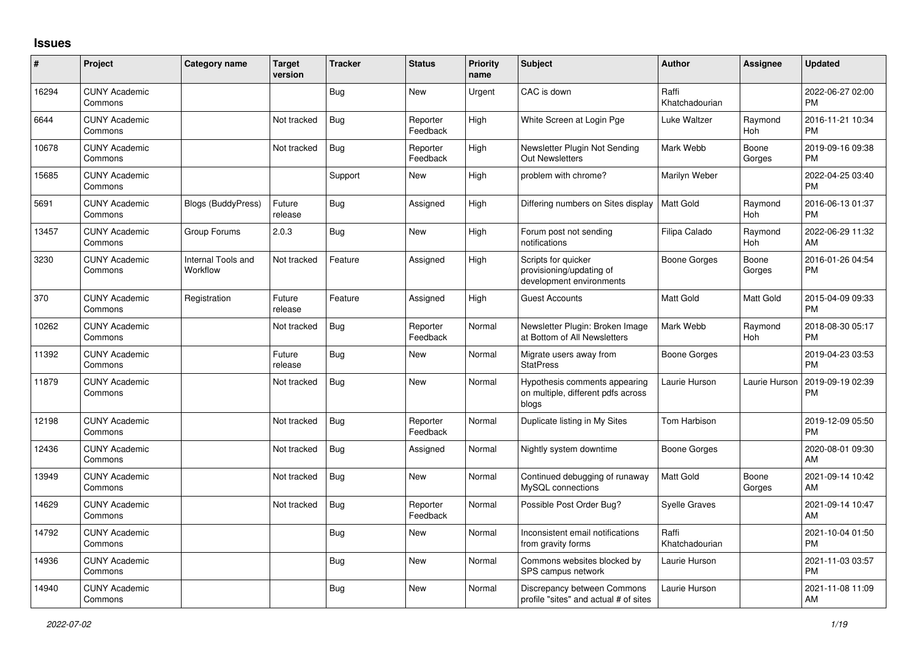## **Issues**

| ∦     | Project                         | <b>Category name</b>           | <b>Target</b><br>version | <b>Tracker</b> | <b>Status</b>        | <b>Priority</b><br>name | <b>Subject</b>                                                               | <b>Author</b>           | <b>Assignee</b> | <b>Updated</b>                |
|-------|---------------------------------|--------------------------------|--------------------------|----------------|----------------------|-------------------------|------------------------------------------------------------------------------|-------------------------|-----------------|-------------------------------|
| 16294 | <b>CUNY Academic</b><br>Commons |                                |                          | Bug            | <b>New</b>           | Urgent                  | CAC is down                                                                  | Raffi<br>Khatchadourian |                 | 2022-06-27 02:00<br><b>PM</b> |
| 6644  | <b>CUNY Academic</b><br>Commons |                                | Not tracked              | Bug            | Reporter<br>Feedback | High                    | White Screen at Login Pge                                                    | Luke Waltzer            | Raymond<br>Hoh  | 2016-11-21 10:34<br><b>PM</b> |
| 10678 | <b>CUNY Academic</b><br>Commons |                                | Not tracked              | Bug            | Reporter<br>Feedback | High                    | Newsletter Plugin Not Sending<br><b>Out Newsletters</b>                      | Mark Webb               | Boone<br>Gorges | 2019-09-16 09:38<br><b>PM</b> |
| 15685 | <b>CUNY Academic</b><br>Commons |                                |                          | Support        | <b>New</b>           | High                    | problem with chrome?                                                         | Marilyn Weber           |                 | 2022-04-25 03:40<br><b>PM</b> |
| 5691  | <b>CUNY Academic</b><br>Commons | <b>Blogs (BuddyPress)</b>      | Future<br>release        | Bug            | Assigned             | High                    | Differing numbers on Sites display                                           | Matt Gold               | Raymond<br>Hoh  | 2016-06-13 01:37<br><b>PM</b> |
| 13457 | <b>CUNY Academic</b><br>Commons | Group Forums                   | 2.0.3                    | <b>Bug</b>     | <b>New</b>           | High                    | Forum post not sending<br>notifications                                      | Filipa Calado           | Raymond<br>Hoh  | 2022-06-29 11:32<br>AM        |
| 3230  | <b>CUNY Academic</b><br>Commons | Internal Tools and<br>Workflow | Not tracked              | Feature        | Assigned             | High                    | Scripts for quicker<br>provisioning/updating of<br>development environments  | Boone Gorges            | Boone<br>Gorges | 2016-01-26 04:54<br><b>PM</b> |
| 370   | <b>CUNY Academic</b><br>Commons | Registration                   | Future<br>release        | Feature        | Assigned             | High                    | <b>Guest Accounts</b>                                                        | Matt Gold               | Matt Gold       | 2015-04-09 09:33<br><b>PM</b> |
| 10262 | <b>CUNY Academic</b><br>Commons |                                | Not tracked              | Bug            | Reporter<br>Feedback | Normal                  | Newsletter Plugin: Broken Image<br>at Bottom of All Newsletters              | Mark Webb               | Raymond<br>Hoh  | 2018-08-30 05:17<br><b>PM</b> |
| 11392 | <b>CUNY Academic</b><br>Commons |                                | Future<br>release        | Bug            | <b>New</b>           | Normal                  | Migrate users away from<br><b>StatPress</b>                                  | Boone Gorges            |                 | 2019-04-23 03:53<br><b>PM</b> |
| 11879 | <b>CUNY Academic</b><br>Commons |                                | Not tracked              | <b>Bug</b>     | <b>New</b>           | Normal                  | Hypothesis comments appearing<br>on multiple, different pdfs across<br>blogs | Laurie Hurson           | Laurie Hurson   | 2019-09-19 02:39<br>PM        |
| 12198 | <b>CUNY Academic</b><br>Commons |                                | Not tracked              | <b>Bug</b>     | Reporter<br>Feedback | Normal                  | Duplicate listing in My Sites                                                | Tom Harbison            |                 | 2019-12-09 05:50<br><b>PM</b> |
| 12436 | <b>CUNY Academic</b><br>Commons |                                | Not tracked              | Bug            | Assigned             | Normal                  | Nightly system downtime                                                      | <b>Boone Gorges</b>     |                 | 2020-08-01 09:30<br>AM        |
| 13949 | <b>CUNY Academic</b><br>Commons |                                | Not tracked              | <b>Bug</b>     | <b>New</b>           | Normal                  | Continued debugging of runaway<br>MySQL connections                          | <b>Matt Gold</b>        | Boone<br>Gorges | 2021-09-14 10:42<br>AM        |
| 14629 | <b>CUNY Academic</b><br>Commons |                                | Not tracked              | Bug            | Reporter<br>Feedback | Normal                  | Possible Post Order Bug?                                                     | <b>Syelle Graves</b>    |                 | 2021-09-14 10:47<br>AM        |
| 14792 | <b>CUNY Academic</b><br>Commons |                                |                          | Bug            | <b>New</b>           | Normal                  | Inconsistent email notifications<br>from gravity forms                       | Raffi<br>Khatchadourian |                 | 2021-10-04 01:50<br><b>PM</b> |
| 14936 | <b>CUNY Academic</b><br>Commons |                                |                          | <b>Bug</b>     | <b>New</b>           | Normal                  | Commons websites blocked by<br>SPS campus network                            | Laurie Hurson           |                 | 2021-11-03 03:57<br><b>PM</b> |
| 14940 | <b>CUNY Academic</b><br>Commons |                                |                          | <b>Bug</b>     | <b>New</b>           | Normal                  | Discrepancy between Commons<br>profile "sites" and actual # of sites         | Laurie Hurson           |                 | 2021-11-08 11:09<br>AM        |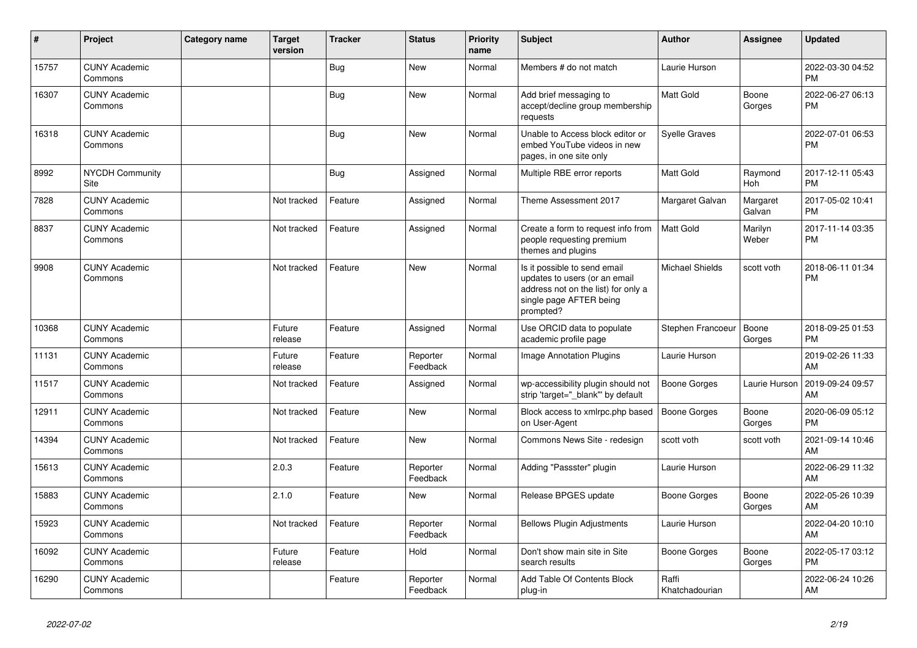| ∦     | Project                         | Category name | <b>Target</b><br>version | <b>Tracker</b> | <b>Status</b>        | <b>Priority</b><br>name | <b>Subject</b>                                                                                                                               | <b>Author</b>           | <b>Assignee</b>    | <b>Updated</b>                |
|-------|---------------------------------|---------------|--------------------------|----------------|----------------------|-------------------------|----------------------------------------------------------------------------------------------------------------------------------------------|-------------------------|--------------------|-------------------------------|
| 15757 | <b>CUNY Academic</b><br>Commons |               |                          | Bug            | <b>New</b>           | Normal                  | Members # do not match                                                                                                                       | Laurie Hurson           |                    | 2022-03-30 04:52<br><b>PM</b> |
| 16307 | <b>CUNY Academic</b><br>Commons |               |                          | Bug            | <b>New</b>           | Normal                  | Add brief messaging to<br>accept/decline group membership<br>requests                                                                        | <b>Matt Gold</b>        | Boone<br>Gorges    | 2022-06-27 06:13<br><b>PM</b> |
| 16318 | <b>CUNY Academic</b><br>Commons |               |                          | <b>Bug</b>     | <b>New</b>           | Normal                  | Unable to Access block editor or<br>embed YouTube videos in new<br>pages, in one site only                                                   | <b>Syelle Graves</b>    |                    | 2022-07-01 06:53<br><b>PM</b> |
| 8992  | <b>NYCDH Community</b><br>Site  |               |                          | <b>Bug</b>     | Assigned             | Normal                  | Multiple RBE error reports                                                                                                                   | <b>Matt Gold</b>        | Raymond<br>Hoh     | 2017-12-11 05:43<br><b>PM</b> |
| 7828  | <b>CUNY Academic</b><br>Commons |               | Not tracked              | Feature        | Assigned             | Normal                  | Theme Assessment 2017                                                                                                                        | Margaret Galvan         | Margaret<br>Galvan | 2017-05-02 10:41<br><b>PM</b> |
| 8837  | <b>CUNY Academic</b><br>Commons |               | Not tracked              | Feature        | Assigned             | Normal                  | Create a form to request info from<br>people requesting premium<br>themes and plugins                                                        | <b>Matt Gold</b>        | Marilyn<br>Weber   | 2017-11-14 03:35<br><b>PM</b> |
| 9908  | <b>CUNY Academic</b><br>Commons |               | Not tracked              | Feature        | <b>New</b>           | Normal                  | Is it possible to send email<br>updates to users (or an email<br>address not on the list) for only a<br>single page AFTER being<br>prompted? | Michael Shields         | scott voth         | 2018-06-11 01:34<br><b>PM</b> |
| 10368 | <b>CUNY Academic</b><br>Commons |               | Future<br>release        | Feature        | Assigned             | Normal                  | Use ORCID data to populate<br>academic profile page                                                                                          | Stephen Francoeur       | Boone<br>Gorges    | 2018-09-25 01:53<br><b>PM</b> |
| 11131 | <b>CUNY Academic</b><br>Commons |               | Future<br>release        | Feature        | Reporter<br>Feedback | Normal                  | <b>Image Annotation Plugins</b>                                                                                                              | Laurie Hurson           |                    | 2019-02-26 11:33<br>AM        |
| 11517 | <b>CUNY Academic</b><br>Commons |               | Not tracked              | Feature        | Assigned             | Normal                  | wp-accessibility plugin should not<br>strip 'target="_blank"' by default                                                                     | Boone Gorges            | Laurie Hurson      | 2019-09-24 09:57<br>AM        |
| 12911 | <b>CUNY Academic</b><br>Commons |               | Not tracked              | Feature        | <b>New</b>           | Normal                  | Block access to xmlrpc.php based<br>on User-Agent                                                                                            | Boone Gorges            | Boone<br>Gorges    | 2020-06-09 05:12<br><b>PM</b> |
| 14394 | <b>CUNY Academic</b><br>Commons |               | Not tracked              | Feature        | <b>New</b>           | Normal                  | Commons News Site - redesign                                                                                                                 | scott voth              | scott voth         | 2021-09-14 10:46<br>AM        |
| 15613 | <b>CUNY Academic</b><br>Commons |               | 2.0.3                    | Feature        | Reporter<br>Feedback | Normal                  | Adding "Passster" plugin                                                                                                                     | Laurie Hurson           |                    | 2022-06-29 11:32<br>AM        |
| 15883 | <b>CUNY Academic</b><br>Commons |               | 2.1.0                    | Feature        | <b>New</b>           | Normal                  | Release BPGES update                                                                                                                         | Boone Gorges            | Boone<br>Gorges    | 2022-05-26 10:39<br>AM        |
| 15923 | <b>CUNY Academic</b><br>Commons |               | Not tracked              | Feature        | Reporter<br>Feedback | Normal                  | <b>Bellows Plugin Adjustments</b>                                                                                                            | Laurie Hurson           |                    | 2022-04-20 10:10<br>AM        |
| 16092 | <b>CUNY Academic</b><br>Commons |               | Future<br>release        | Feature        | Hold                 | Normal                  | Don't show main site in Site<br>search results                                                                                               | Boone Gorges            | Boone<br>Gorges    | 2022-05-17 03:12<br><b>PM</b> |
| 16290 | <b>CUNY Academic</b><br>Commons |               |                          | Feature        | Reporter<br>Feedback | Normal                  | Add Table Of Contents Block<br>plug-in                                                                                                       | Raffi<br>Khatchadourian |                    | 2022-06-24 10:26<br>AM        |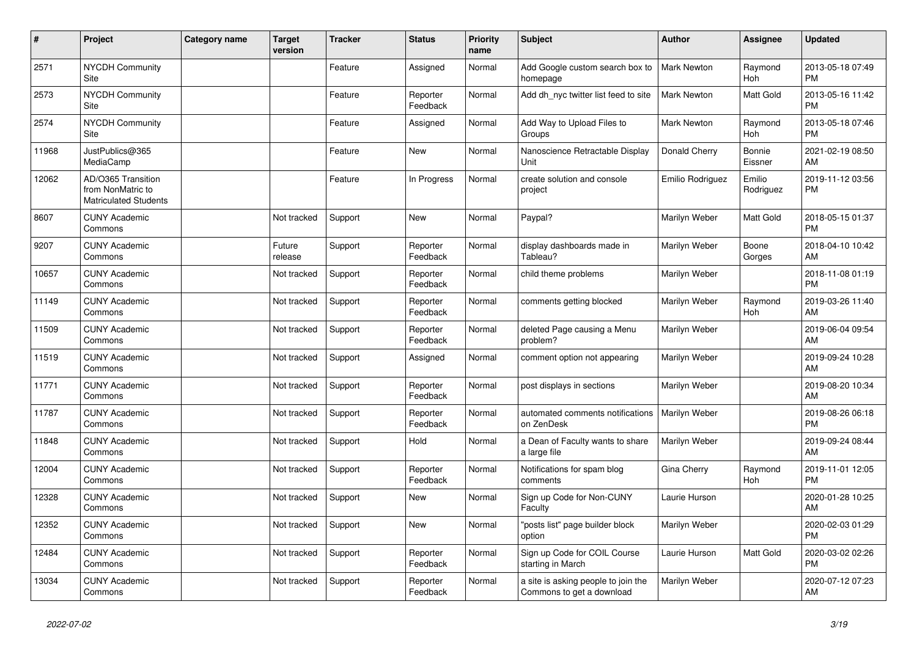| #     | Project                                                                 | Category name | Target<br>version | <b>Tracker</b> | <b>Status</b>        | <b>Priority</b><br>name | <b>Subject</b>                                                   | <b>Author</b>      | <b>Assignee</b>     | <b>Updated</b>                |
|-------|-------------------------------------------------------------------------|---------------|-------------------|----------------|----------------------|-------------------------|------------------------------------------------------------------|--------------------|---------------------|-------------------------------|
| 2571  | <b>NYCDH Community</b><br>Site                                          |               |                   | Feature        | Assigned             | Normal                  | Add Google custom search box to<br>homepage                      | <b>Mark Newton</b> | Raymond<br>Hoh      | 2013-05-18 07:49<br><b>PM</b> |
| 2573  | <b>NYCDH Community</b><br>Site                                          |               |                   | Feature        | Reporter<br>Feedback | Normal                  | Add dh nyc twitter list feed to site                             | <b>Mark Newton</b> | Matt Gold           | 2013-05-16 11:42<br><b>PM</b> |
| 2574  | NYCDH Community<br>Site                                                 |               |                   | Feature        | Assigned             | Normal                  | Add Way to Upload Files to<br>Groups                             | Mark Newton        | Raymond<br>Hoh      | 2013-05-18 07:46<br><b>PM</b> |
| 11968 | JustPublics@365<br>MediaCamp                                            |               |                   | Feature        | <b>New</b>           | Normal                  | Nanoscience Retractable Display<br>Unit                          | Donald Cherry      | Bonnie<br>Eissner   | 2021-02-19 08:50<br>AM        |
| 12062 | AD/O365 Transition<br>from NonMatric to<br><b>Matriculated Students</b> |               |                   | Feature        | In Progress          | Normal                  | create solution and console<br>project                           | Emilio Rodriguez   | Emilio<br>Rodriguez | 2019-11-12 03:56<br><b>PM</b> |
| 8607  | <b>CUNY Academic</b><br>Commons                                         |               | Not tracked       | Support        | <b>New</b>           | Normal                  | Paypal?                                                          | Marilyn Weber      | Matt Gold           | 2018-05-15 01:37<br><b>PM</b> |
| 9207  | <b>CUNY Academic</b><br>Commons                                         |               | Future<br>release | Support        | Reporter<br>Feedback | Normal                  | display dashboards made in<br>Tableau?                           | Marilyn Weber      | Boone<br>Gorges     | 2018-04-10 10:42<br>AM        |
| 10657 | <b>CUNY Academic</b><br>Commons                                         |               | Not tracked       | Support        | Reporter<br>Feedback | Normal                  | child theme problems                                             | Marilyn Weber      |                     | 2018-11-08 01:19<br><b>PM</b> |
| 11149 | <b>CUNY Academic</b><br>Commons                                         |               | Not tracked       | Support        | Reporter<br>Feedback | Normal                  | comments getting blocked                                         | Marilyn Weber      | Raymond<br>Hoh      | 2019-03-26 11:40<br>AM        |
| 11509 | <b>CUNY Academic</b><br>Commons                                         |               | Not tracked       | Support        | Reporter<br>Feedback | Normal                  | deleted Page causing a Menu<br>problem?                          | Marilyn Weber      |                     | 2019-06-04 09:54<br>AM        |
| 11519 | <b>CUNY Academic</b><br>Commons                                         |               | Not tracked       | Support        | Assigned             | Normal                  | comment option not appearing                                     | Marilyn Weber      |                     | 2019-09-24 10:28<br>AM        |
| 11771 | <b>CUNY Academic</b><br>Commons                                         |               | Not tracked       | Support        | Reporter<br>Feedback | Normal                  | post displays in sections                                        | Marilyn Weber      |                     | 2019-08-20 10:34<br>AM        |
| 11787 | <b>CUNY Academic</b><br>Commons                                         |               | Not tracked       | Support        | Reporter<br>Feedback | Normal                  | automated comments notifications<br>on ZenDesk                   | Marilyn Weber      |                     | 2019-08-26 06:18<br><b>PM</b> |
| 11848 | <b>CUNY Academic</b><br>Commons                                         |               | Not tracked       | Support        | Hold                 | Normal                  | a Dean of Faculty wants to share<br>a large file                 | Marilyn Weber      |                     | 2019-09-24 08:44<br>AM        |
| 12004 | <b>CUNY Academic</b><br>Commons                                         |               | Not tracked       | Support        | Reporter<br>Feedback | Normal                  | Notifications for spam blog<br>comments                          | Gina Cherry        | Raymond<br>Hoh      | 2019-11-01 12:05<br><b>PM</b> |
| 12328 | <b>CUNY Academic</b><br>Commons                                         |               | Not tracked       | Support        | <b>New</b>           | Normal                  | Sign up Code for Non-CUNY<br>Faculty                             | Laurie Hurson      |                     | 2020-01-28 10:25<br>AM        |
| 12352 | <b>CUNY Academic</b><br>Commons                                         |               | Not tracked       | Support        | <b>New</b>           | Normal                  | "posts list" page builder block<br>option                        | Marilyn Weber      |                     | 2020-02-03 01:29<br><b>PM</b> |
| 12484 | <b>CUNY Academic</b><br>Commons                                         |               | Not tracked       | Support        | Reporter<br>Feedback | Normal                  | Sign up Code for COIL Course<br>starting in March                | Laurie Hurson      | Matt Gold           | 2020-03-02 02:26<br><b>PM</b> |
| 13034 | <b>CUNY Academic</b><br>Commons                                         |               | Not tracked       | Support        | Reporter<br>Feedback | Normal                  | a site is asking people to join the<br>Commons to get a download | Marilyn Weber      |                     | 2020-07-12 07:23<br>AM        |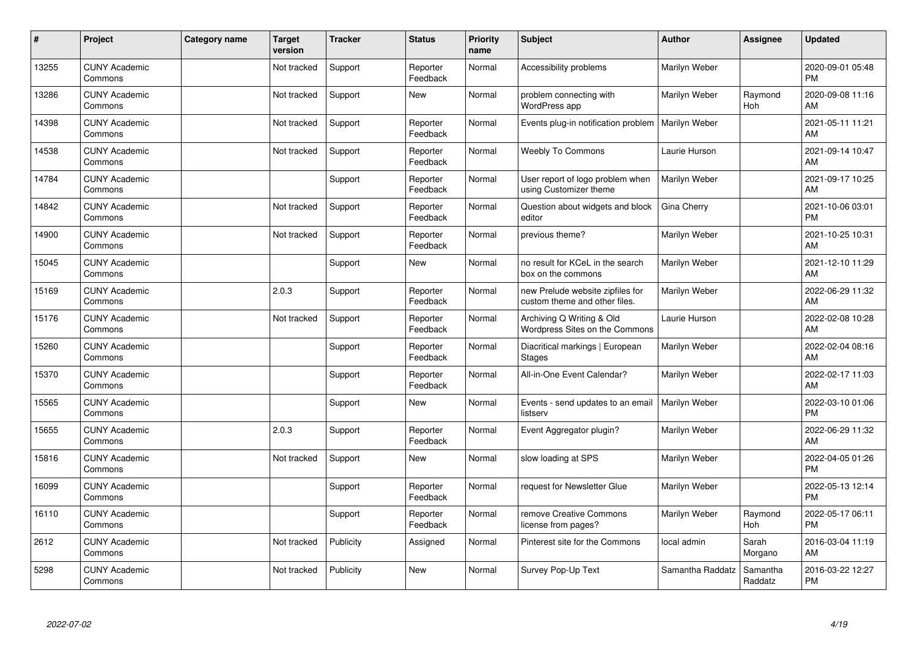| #     | Project                         | <b>Category name</b> | <b>Target</b><br>version | <b>Tracker</b> | <b>Status</b>        | <b>Priority</b><br>name | <b>Subject</b>                                                    | <b>Author</b>    | Assignee            | <b>Updated</b>                |
|-------|---------------------------------|----------------------|--------------------------|----------------|----------------------|-------------------------|-------------------------------------------------------------------|------------------|---------------------|-------------------------------|
| 13255 | <b>CUNY Academic</b><br>Commons |                      | Not tracked              | Support        | Reporter<br>Feedback | Normal                  | Accessibility problems                                            | Marilyn Weber    |                     | 2020-09-01 05:48<br><b>PM</b> |
| 13286 | <b>CUNY Academic</b><br>Commons |                      | Not tracked              | Support        | New                  | Normal                  | problem connecting with<br>WordPress app                          | Marilyn Weber    | Raymond<br>Hoh      | 2020-09-08 11:16<br>AM        |
| 14398 | <b>CUNY Academic</b><br>Commons |                      | Not tracked              | Support        | Reporter<br>Feedback | Normal                  | Events plug-in notification problem                               | Marilyn Weber    |                     | 2021-05-11 11:21<br>AM        |
| 14538 | <b>CUNY Academic</b><br>Commons |                      | Not tracked              | Support        | Reporter<br>Feedback | Normal                  | Weebly To Commons                                                 | Laurie Hurson    |                     | 2021-09-14 10:47<br>AM        |
| 14784 | <b>CUNY Academic</b><br>Commons |                      |                          | Support        | Reporter<br>Feedback | Normal                  | User report of logo problem when<br>using Customizer theme        | Marilyn Weber    |                     | 2021-09-17 10:25<br>AM        |
| 14842 | <b>CUNY Academic</b><br>Commons |                      | Not tracked              | Support        | Reporter<br>Feedback | Normal                  | Question about widgets and block<br>editor                        | Gina Cherry      |                     | 2021-10-06 03:01<br><b>PM</b> |
| 14900 | <b>CUNY Academic</b><br>Commons |                      | Not tracked              | Support        | Reporter<br>Feedback | Normal                  | previous theme?                                                   | Marilyn Weber    |                     | 2021-10-25 10:31<br>AM        |
| 15045 | <b>CUNY Academic</b><br>Commons |                      |                          | Support        | <b>New</b>           | Normal                  | no result for KCeL in the search<br>box on the commons            | Marilyn Weber    |                     | 2021-12-10 11:29<br>AM        |
| 15169 | <b>CUNY Academic</b><br>Commons |                      | 2.0.3                    | Support        | Reporter<br>Feedback | Normal                  | new Prelude website zipfiles for<br>custom theme and other files. | Marilyn Weber    |                     | 2022-06-29 11:32<br>AM        |
| 15176 | <b>CUNY Academic</b><br>Commons |                      | Not tracked              | Support        | Reporter<br>Feedback | Normal                  | Archiving Q Writing & Old<br>Wordpress Sites on the Commons       | Laurie Hurson    |                     | 2022-02-08 10:28<br>AM        |
| 15260 | <b>CUNY Academic</b><br>Commons |                      |                          | Support        | Reporter<br>Feedback | Normal                  | Diacritical markings   European<br><b>Stages</b>                  | Marilyn Weber    |                     | 2022-02-04 08:16<br>AM        |
| 15370 | <b>CUNY Academic</b><br>Commons |                      |                          | Support        | Reporter<br>Feedback | Normal                  | All-in-One Event Calendar?                                        | Marilyn Weber    |                     | 2022-02-17 11:03<br>AM        |
| 15565 | <b>CUNY Academic</b><br>Commons |                      |                          | Support        | New                  | Normal                  | Events - send updates to an email<br>listserv                     | Marilyn Weber    |                     | 2022-03-10 01:06<br><b>PM</b> |
| 15655 | <b>CUNY Academic</b><br>Commons |                      | 2.0.3                    | Support        | Reporter<br>Feedback | Normal                  | Event Aggregator plugin?                                          | Marilyn Weber    |                     | 2022-06-29 11:32<br>AM        |
| 15816 | <b>CUNY Academic</b><br>Commons |                      | Not tracked              | Support        | New                  | Normal                  | slow loading at SPS                                               | Marilyn Weber    |                     | 2022-04-05 01:26<br><b>PM</b> |
| 16099 | <b>CUNY Academic</b><br>Commons |                      |                          | Support        | Reporter<br>Feedback | Normal                  | request for Newsletter Glue                                       | Marilyn Weber    |                     | 2022-05-13 12:14<br><b>PM</b> |
| 16110 | <b>CUNY Academic</b><br>Commons |                      |                          | Support        | Reporter<br>Feedback | Normal                  | remove Creative Commons<br>license from pages?                    | Marilyn Weber    | Raymond<br>Hoh      | 2022-05-17 06:11<br><b>PM</b> |
| 2612  | <b>CUNY Academic</b><br>Commons |                      | Not tracked              | Publicity      | Assigned             | Normal                  | Pinterest site for the Commons                                    | local admin      | Sarah<br>Morgano    | 2016-03-04 11:19<br>AM        |
| 5298  | <b>CUNY Academic</b><br>Commons |                      | Not tracked              | Publicity      | <b>New</b>           | Normal                  | Survey Pop-Up Text                                                | Samantha Raddatz | Samantha<br>Raddatz | 2016-03-22 12:27<br>PM        |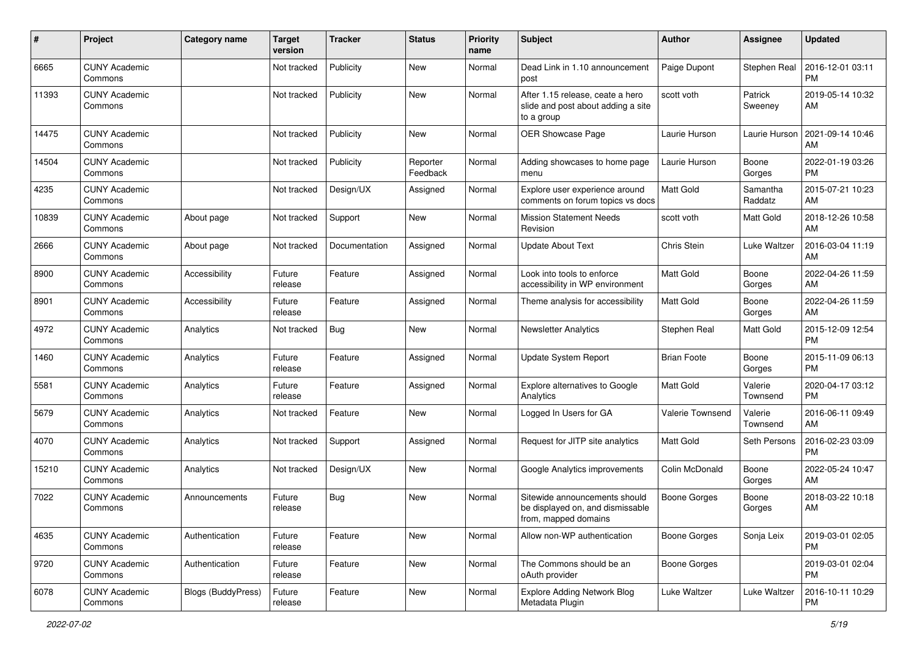| #     | Project                         | Category name             | <b>Target</b><br>version | Tracker       | <b>Status</b>        | <b>Priority</b><br>name | Subject                                                                                   | Author              | Assignee            | <b>Updated</b>                |
|-------|---------------------------------|---------------------------|--------------------------|---------------|----------------------|-------------------------|-------------------------------------------------------------------------------------------|---------------------|---------------------|-------------------------------|
| 6665  | <b>CUNY Academic</b><br>Commons |                           | Not tracked              | Publicity     | <b>New</b>           | Normal                  | Dead Link in 1.10 announcement<br>post                                                    | Paige Dupont        | Stephen Real        | 2016-12-01 03:11<br><b>PM</b> |
| 11393 | <b>CUNY Academic</b><br>Commons |                           | Not tracked              | Publicity     | New                  | Normal                  | After 1.15 release, ceate a hero<br>slide and post about adding a site<br>to a group      | scott voth          | Patrick<br>Sweeney  | 2019-05-14 10:32<br>AM        |
| 14475 | <b>CUNY Academic</b><br>Commons |                           | Not tracked              | Publicity     | New                  | Normal                  | OER Showcase Page                                                                         | Laurie Hurson       | Laurie Hurson       | 2021-09-14 10:46<br>AM        |
| 14504 | <b>CUNY Academic</b><br>Commons |                           | Not tracked              | Publicity     | Reporter<br>Feedback | Normal                  | Adding showcases to home page<br>menu                                                     | Laurie Hurson       | Boone<br>Gorges     | 2022-01-19 03:26<br><b>PM</b> |
| 4235  | <b>CUNY Academic</b><br>Commons |                           | Not tracked              | Design/UX     | Assigned             | Normal                  | Explore user experience around<br>comments on forum topics vs docs                        | Matt Gold           | Samantha<br>Raddatz | 2015-07-21 10:23<br>AM        |
| 10839 | <b>CUNY Academic</b><br>Commons | About page                | Not tracked              | Support       | <b>New</b>           | Normal                  | <b>Mission Statement Needs</b><br>Revision                                                | scott voth          | Matt Gold           | 2018-12-26 10:58<br>AM        |
| 2666  | <b>CUNY Academic</b><br>Commons | About page                | Not tracked              | Documentation | Assigned             | Normal                  | <b>Update About Text</b>                                                                  | Chris Stein         | Luke Waltzer        | 2016-03-04 11:19<br>AM        |
| 8900  | <b>CUNY Academic</b><br>Commons | Accessibility             | Future<br>release        | Feature       | Assigned             | Normal                  | Look into tools to enforce<br>accessibility in WP environment                             | Matt Gold           | Boone<br>Gorges     | 2022-04-26 11:59<br>AM        |
| 8901  | <b>CUNY Academic</b><br>Commons | Accessibility             | Future<br>release        | Feature       | Assigned             | Normal                  | Theme analysis for accessibility                                                          | <b>Matt Gold</b>    | Boone<br>Gorges     | 2022-04-26 11:59<br>AM        |
| 4972  | <b>CUNY Academic</b><br>Commons | Analytics                 | Not tracked              | Bug           | New                  | Normal                  | <b>Newsletter Analytics</b>                                                               | Stephen Real        | Matt Gold           | 2015-12-09 12:54<br><b>PM</b> |
| 1460  | <b>CUNY Academic</b><br>Commons | Analytics                 | Future<br>release        | Feature       | Assigned             | Normal                  | <b>Update System Report</b>                                                               | <b>Brian Foote</b>  | Boone<br>Gorges     | 2015-11-09 06:13<br><b>PM</b> |
| 5581  | <b>CUNY Academic</b><br>Commons | Analytics                 | Future<br>release        | Feature       | Assigned             | Normal                  | Explore alternatives to Google<br>Analytics                                               | Matt Gold           | Valerie<br>Townsend | 2020-04-17 03:12<br><b>PM</b> |
| 5679  | <b>CUNY Academic</b><br>Commons | Analytics                 | Not tracked              | Feature       | <b>New</b>           | Normal                  | Logged In Users for GA                                                                    | Valerie Townsend    | Valerie<br>Townsend | 2016-06-11 09:49<br>AM        |
| 4070  | <b>CUNY Academic</b><br>Commons | Analytics                 | Not tracked              | Support       | Assigned             | Normal                  | Request for JITP site analytics                                                           | Matt Gold           | Seth Persons        | 2016-02-23 03:09<br><b>PM</b> |
| 15210 | <b>CUNY Academic</b><br>Commons | Analytics                 | Not tracked              | Design/UX     | <b>New</b>           | Normal                  | Google Analytics improvements                                                             | Colin McDonald      | Boone<br>Gorges     | 2022-05-24 10:47<br>AM        |
| 7022  | <b>CUNY Academic</b><br>Commons | Announcements             | Future<br>release        | <b>Bug</b>    | <b>New</b>           | Normal                  | Sitewide announcements should<br>be displayed on, and dismissable<br>from, mapped domains | <b>Boone Gorges</b> | Boone<br>Gorges     | 2018-03-22 10:18<br>AM        |
| 4635  | <b>CUNY Academic</b><br>Commons | Authentication            | Future<br>release        | Feature       | New                  | Normal                  | Allow non-WP authentication                                                               | Boone Gorges        | Sonja Leix          | 2019-03-01 02:05<br>PM.       |
| 9720  | <b>CUNY Academic</b><br>Commons | Authentication            | Future<br>release        | Feature       | New                  | Normal                  | The Commons should be an<br>oAuth provider                                                | <b>Boone Gorges</b> |                     | 2019-03-01 02:04<br><b>PM</b> |
| 6078  | <b>CUNY Academic</b><br>Commons | <b>Blogs (BuddyPress)</b> | Future<br>release        | Feature       | New                  | Normal                  | <b>Explore Adding Network Blog</b><br>Metadata Plugin                                     | Luke Waltzer        | Luke Waltzer        | 2016-10-11 10:29<br><b>PM</b> |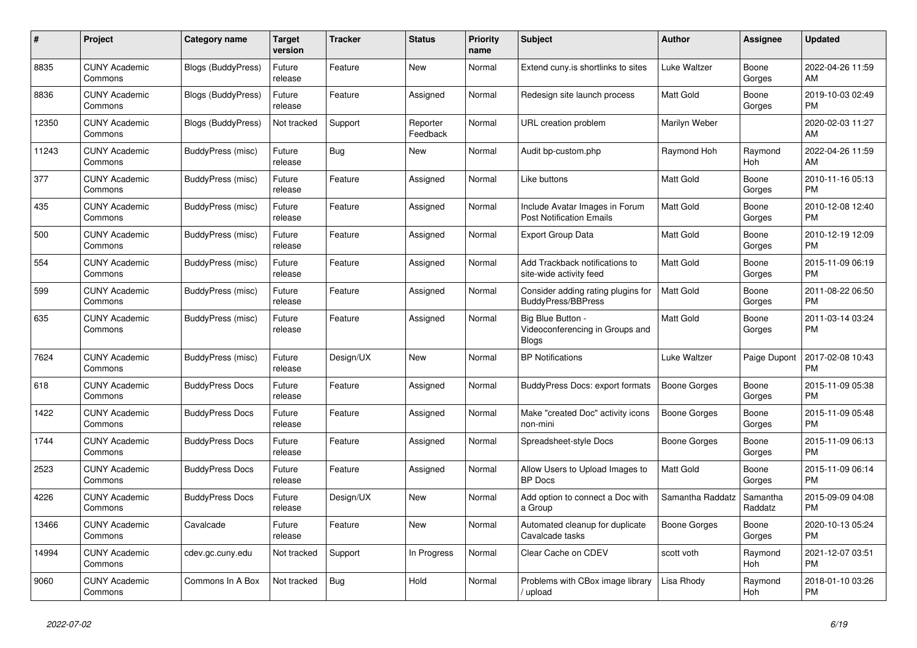| #     | Project                         | <b>Category name</b>      | Target<br>version | <b>Tracker</b> | <b>Status</b>        | <b>Priority</b><br>name | <b>Subject</b>                                                     | <b>Author</b>       | Assignee            | <b>Updated</b>                |
|-------|---------------------------------|---------------------------|-------------------|----------------|----------------------|-------------------------|--------------------------------------------------------------------|---------------------|---------------------|-------------------------------|
| 8835  | <b>CUNY Academic</b><br>Commons | <b>Blogs (BuddyPress)</b> | Future<br>release | Feature        | New                  | Normal                  | Extend cuny.is shortlinks to sites                                 | Luke Waltzer        | Boone<br>Gorges     | 2022-04-26 11:59<br>AM        |
| 8836  | <b>CUNY Academic</b><br>Commons | <b>Blogs (BuddyPress)</b> | Future<br>release | Feature        | Assigned             | Normal                  | Redesign site launch process                                       | Matt Gold           | Boone<br>Gorges     | 2019-10-03 02:49<br><b>PM</b> |
| 12350 | <b>CUNY Academic</b><br>Commons | Blogs (BuddyPress)        | Not tracked       | Support        | Reporter<br>Feedback | Normal                  | URL creation problem                                               | Marilyn Weber       |                     | 2020-02-03 11:27<br>AM        |
| 11243 | <b>CUNY Academic</b><br>Commons | BuddyPress (misc)         | Future<br>release | <b>Bug</b>     | <b>New</b>           | Normal                  | Audit bp-custom.php                                                | Raymond Hoh         | Raymond<br>Hoh      | 2022-04-26 11:59<br>AM        |
| 377   | <b>CUNY Academic</b><br>Commons | BuddyPress (misc)         | Future<br>release | Feature        | Assigned             | Normal                  | Like buttons                                                       | Matt Gold           | Boone<br>Gorges     | 2010-11-16 05:13<br><b>PM</b> |
| 435   | <b>CUNY Academic</b><br>Commons | BuddyPress (misc)         | Future<br>release | Feature        | Assigned             | Normal                  | Include Avatar Images in Forum<br><b>Post Notification Emails</b>  | Matt Gold           | Boone<br>Gorges     | 2010-12-08 12:40<br><b>PM</b> |
| 500   | <b>CUNY Academic</b><br>Commons | BuddyPress (misc)         | Future<br>release | Feature        | Assigned             | Normal                  | <b>Export Group Data</b>                                           | Matt Gold           | Boone<br>Gorges     | 2010-12-19 12:09<br><b>PM</b> |
| 554   | <b>CUNY Academic</b><br>Commons | BuddyPress (misc)         | Future<br>release | Feature        | Assigned             | Normal                  | Add Trackback notifications to<br>site-wide activity feed          | Matt Gold           | Boone<br>Gorges     | 2015-11-09 06:19<br><b>PM</b> |
| 599   | <b>CUNY Academic</b><br>Commons | BuddyPress (misc)         | Future<br>release | Feature        | Assigned             | Normal                  | Consider adding rating plugins for<br><b>BuddyPress/BBPress</b>    | <b>Matt Gold</b>    | Boone<br>Gorges     | 2011-08-22 06:50<br><b>PM</b> |
| 635   | <b>CUNY Academic</b><br>Commons | BuddyPress (misc)         | Future<br>release | Feature        | Assigned             | Normal                  | Big Blue Button<br>Videoconferencing in Groups and<br><b>Blogs</b> | Matt Gold           | Boone<br>Gorges     | 2011-03-14 03:24<br><b>PM</b> |
| 7624  | <b>CUNY Academic</b><br>Commons | BuddyPress (misc)         | Future<br>release | Design/UX      | New                  | Normal                  | <b>BP Notifications</b>                                            | Luke Waltzer        | Paige Dupont        | 2017-02-08 10:43<br><b>PM</b> |
| 618   | <b>CUNY Academic</b><br>Commons | <b>BuddyPress Docs</b>    | Future<br>release | Feature        | Assigned             | Normal                  | BuddyPress Docs: export formats                                    | <b>Boone Gorges</b> | Boone<br>Gorges     | 2015-11-09 05:38<br><b>PM</b> |
| 1422  | <b>CUNY Academic</b><br>Commons | <b>BuddyPress Docs</b>    | Future<br>release | Feature        | Assigned             | Normal                  | Make "created Doc" activity icons<br>non-mini                      | Boone Gorges        | Boone<br>Gorges     | 2015-11-09 05:48<br><b>PM</b> |
| 1744  | <b>CUNY Academic</b><br>Commons | <b>BuddyPress Docs</b>    | Future<br>release | Feature        | Assigned             | Normal                  | Spreadsheet-style Docs                                             | Boone Gorges        | Boone<br>Gorges     | 2015-11-09 06:13<br><b>PM</b> |
| 2523  | <b>CUNY Academic</b><br>Commons | <b>BuddyPress Docs</b>    | Future<br>release | Feature        | Assigned             | Normal                  | Allow Users to Upload Images to<br><b>BP</b> Docs                  | <b>Matt Gold</b>    | Boone<br>Gorges     | 2015-11-09 06:14<br><b>PM</b> |
| 4226  | <b>CUNY Academic</b><br>Commons | <b>BuddyPress Docs</b>    | Future<br>release | Design/UX      | <b>New</b>           | Normal                  | Add option to connect a Doc with<br>a Group                        | Samantha Raddatz    | Samantha<br>Raddatz | 2015-09-09 04:08<br><b>PM</b> |
| 13466 | <b>CUNY Academic</b><br>Commons | Cavalcade                 | Future<br>release | Feature        | <b>New</b>           | Normal                  | Automated cleanup for duplicate<br>Cavalcade tasks                 | Boone Gorges        | Boone<br>Gorges     | 2020-10-13 05:24<br><b>PM</b> |
| 14994 | <b>CUNY Academic</b><br>Commons | cdev.gc.cuny.edu          | Not tracked       | Support        | In Progress          | Normal                  | Clear Cache on CDEV                                                | scott voth          | Raymond<br>Hoh      | 2021-12-07 03:51<br><b>PM</b> |
| 9060  | <b>CUNY Academic</b><br>Commons | Commons In A Box          | Not tracked       | <b>Bug</b>     | Hold                 | Normal                  | Problems with CBox image library<br>upload                         | Lisa Rhody          | Raymond<br>Hoh      | 2018-01-10 03:26<br><b>PM</b> |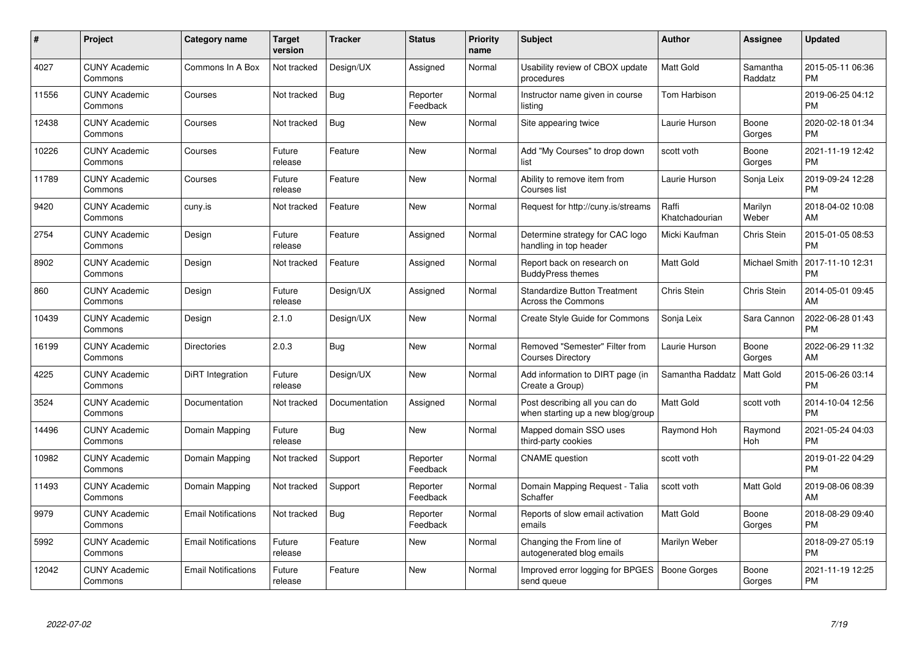| #     | Project                         | <b>Category name</b>       | <b>Target</b><br>version | <b>Tracker</b> | <b>Status</b>        | Priority<br>name | <b>Subject</b>                                                      | <b>Author</b>           | <b>Assignee</b>     | <b>Updated</b>                |
|-------|---------------------------------|----------------------------|--------------------------|----------------|----------------------|------------------|---------------------------------------------------------------------|-------------------------|---------------------|-------------------------------|
| 4027  | <b>CUNY Academic</b><br>Commons | Commons In A Box           | Not tracked              | Design/UX      | Assigned             | Normal           | Usability review of CBOX update<br>procedures                       | <b>Matt Gold</b>        | Samantha<br>Raddatz | 2015-05-11 06:36<br><b>PM</b> |
| 11556 | <b>CUNY Academic</b><br>Commons | Courses                    | Not tracked              | <b>Bug</b>     | Reporter<br>Feedback | Normal           | Instructor name given in course<br>listing                          | Tom Harbison            |                     | 2019-06-25 04:12<br><b>PM</b> |
| 12438 | <b>CUNY Academic</b><br>Commons | Courses                    | Not tracked              | Bug            | <b>New</b>           | Normal           | Site appearing twice                                                | Laurie Hurson           | Boone<br>Gorges     | 2020-02-18 01:34<br><b>PM</b> |
| 10226 | <b>CUNY Academic</b><br>Commons | Courses                    | Future<br>release        | Feature        | <b>New</b>           | Normal           | Add "My Courses" to drop down<br>list                               | scott voth              | Boone<br>Gorges     | 2021-11-19 12:42<br><b>PM</b> |
| 11789 | <b>CUNY Academic</b><br>Commons | Courses                    | Future<br>release        | Feature        | <b>New</b>           | Normal           | Ability to remove item from<br>Courses list                         | Laurie Hurson           | Sonja Leix          | 2019-09-24 12:28<br><b>PM</b> |
| 9420  | <b>CUNY Academic</b><br>Commons | cuny.is                    | Not tracked              | Feature        | <b>New</b>           | Normal           | Request for http://cuny.is/streams                                  | Raffi<br>Khatchadourian | Marilyn<br>Weber    | 2018-04-02 10:08<br>AM        |
| 2754  | <b>CUNY Academic</b><br>Commons | Design                     | Future<br>release        | Feature        | Assigned             | Normal           | Determine strategy for CAC logo<br>handling in top header           | Micki Kaufman           | Chris Stein         | 2015-01-05 08:53<br><b>PM</b> |
| 8902  | <b>CUNY Academic</b><br>Commons | Design                     | Not tracked              | Feature        | Assigned             | Normal           | Report back on research on<br><b>BuddyPress themes</b>              | Matt Gold               | Michael Smith       | 2017-11-10 12:31<br><b>PM</b> |
| 860   | <b>CUNY Academic</b><br>Commons | Design                     | Future<br>release        | Design/UX      | Assigned             | Normal           | <b>Standardize Button Treatment</b><br>Across the Commons           | Chris Stein             | Chris Stein         | 2014-05-01 09:45<br>AM        |
| 10439 | <b>CUNY Academic</b><br>Commons | Design                     | 2.1.0                    | Design/UX      | New                  | Normal           | Create Style Guide for Commons                                      | Sonja Leix              | Sara Cannon         | 2022-06-28 01:43<br><b>PM</b> |
| 16199 | <b>CUNY Academic</b><br>Commons | <b>Directories</b>         | 2.0.3                    | Bug            | New                  | Normal           | Removed "Semester" Filter from<br><b>Courses Directory</b>          | Laurie Hurson           | Boone<br>Gorges     | 2022-06-29 11:32<br>AM        |
| 4225  | <b>CUNY Academic</b><br>Commons | DiRT Integration           | Future<br>release        | Design/UX      | New                  | Normal           | Add information to DIRT page (in<br>Create a Group)                 | Samantha Raddatz        | Matt Gold           | 2015-06-26 03:14<br><b>PM</b> |
| 3524  | <b>CUNY Academic</b><br>Commons | Documentation              | Not tracked              | Documentation  | Assigned             | Normal           | Post describing all you can do<br>when starting up a new blog/group | Matt Gold               | scott voth          | 2014-10-04 12:56<br><b>PM</b> |
| 14496 | <b>CUNY Academic</b><br>Commons | Domain Mapping             | Future<br>release        | Bug            | New                  | Normal           | Mapped domain SSO uses<br>third-party cookies                       | Raymond Hoh             | Raymond<br>Hoh      | 2021-05-24 04:03<br><b>PM</b> |
| 10982 | <b>CUNY Academic</b><br>Commons | Domain Mapping             | Not tracked              | Support        | Reporter<br>Feedback | Normal           | <b>CNAME</b> question                                               | scott voth              |                     | 2019-01-22 04:29<br><b>PM</b> |
| 11493 | <b>CUNY Academic</b><br>Commons | Domain Mapping             | Not tracked              | Support        | Reporter<br>Feedback | Normal           | Domain Mapping Request - Talia<br>Schaffer                          | scott voth              | Matt Gold           | 2019-08-06 08:39<br>AM        |
| 9979  | <b>CUNY Academic</b><br>Commons | <b>Email Notifications</b> | Not tracked              | Bug            | Reporter<br>Feedback | Normal           | Reports of slow email activation<br>emails                          | <b>Matt Gold</b>        | Boone<br>Gorges     | 2018-08-29 09:40<br><b>PM</b> |
| 5992  | <b>CUNY Academic</b><br>Commons | <b>Email Notifications</b> | Future<br>release        | Feature        | New                  | Normal           | Changing the From line of<br>autogenerated blog emails              | Marilyn Weber           |                     | 2018-09-27 05:19<br><b>PM</b> |
| 12042 | <b>CUNY Academic</b><br>Commons | <b>Email Notifications</b> | Future<br>release        | Feature        | <b>New</b>           | Normal           | Improved error logging for BPGES<br>send queue                      | <b>Boone Gorges</b>     | Boone<br>Gorges     | 2021-11-19 12:25<br><b>PM</b> |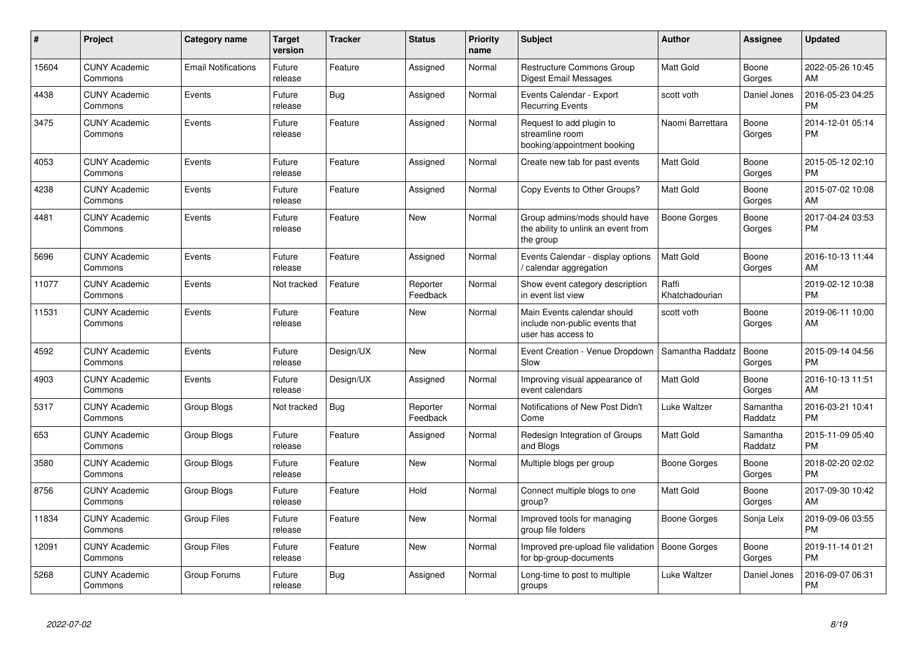| #     | Project                         | Category name              | <b>Target</b><br>version | <b>Tracker</b> | <b>Status</b>        | <b>Priority</b><br>name | <b>Subject</b>                                                                      | <b>Author</b>           | Assignee            | <b>Updated</b>                |
|-------|---------------------------------|----------------------------|--------------------------|----------------|----------------------|-------------------------|-------------------------------------------------------------------------------------|-------------------------|---------------------|-------------------------------|
| 15604 | <b>CUNY Academic</b><br>Commons | <b>Email Notifications</b> | Future<br>release        | Feature        | Assigned             | Normal                  | <b>Restructure Commons Group</b><br>Digest Email Messages                           | <b>Matt Gold</b>        | Boone<br>Gorges     | 2022-05-26 10:45<br>AM        |
| 4438  | <b>CUNY Academic</b><br>Commons | Events                     | Future<br>release        | Bug            | Assigned             | Normal                  | Events Calendar - Export<br><b>Recurring Events</b>                                 | scott voth              | Daniel Jones        | 2016-05-23 04:25<br><b>PM</b> |
| 3475  | <b>CUNY Academic</b><br>Commons | Events                     | Future<br>release        | Feature        | Assigned             | Normal                  | Request to add plugin to<br>streamline room<br>booking/appointment booking          | Naomi Barrettara        | Boone<br>Gorges     | 2014-12-01 05:14<br><b>PM</b> |
| 4053  | <b>CUNY Academic</b><br>Commons | Events                     | Future<br>release        | Feature        | Assigned             | Normal                  | Create new tab for past events                                                      | <b>Matt Gold</b>        | Boone<br>Gorges     | 2015-05-12 02:10<br><b>PM</b> |
| 4238  | <b>CUNY Academic</b><br>Commons | Events                     | Future<br>release        | Feature        | Assigned             | Normal                  | Copy Events to Other Groups?                                                        | <b>Matt Gold</b>        | Boone<br>Gorges     | 2015-07-02 10:08<br>AM        |
| 4481  | <b>CUNY Academic</b><br>Commons | Events                     | Future<br>release        | Feature        | <b>New</b>           | Normal                  | Group admins/mods should have<br>the ability to unlink an event from<br>the group   | <b>Boone Gorges</b>     | Boone<br>Gorges     | 2017-04-24 03:53<br><b>PM</b> |
| 5696  | <b>CUNY Academic</b><br>Commons | Events                     | Future<br>release        | Feature        | Assigned             | Normal                  | Events Calendar - display options<br>/ calendar aggregation                         | <b>Matt Gold</b>        | Boone<br>Gorges     | 2016-10-13 11:44<br>AM        |
| 11077 | <b>CUNY Academic</b><br>Commons | Events                     | Not tracked              | Feature        | Reporter<br>Feedback | Normal                  | Show event category description<br>in event list view                               | Raffi<br>Khatchadourian |                     | 2019-02-12 10:38<br><b>PM</b> |
| 11531 | <b>CUNY Academic</b><br>Commons | Events                     | Future<br>release        | Feature        | New                  | Normal                  | Main Events calendar should<br>include non-public events that<br>user has access to | scott voth              | Boone<br>Gorges     | 2019-06-11 10:00<br>AM        |
| 4592  | <b>CUNY Academic</b><br>Commons | Events                     | Future<br>release        | Design/UX      | <b>New</b>           | Normal                  | Event Creation - Venue Dropdown<br>Slow                                             | Samantha Raddatz        | Boone<br>Gorges     | 2015-09-14 04:56<br><b>PM</b> |
| 4903  | <b>CUNY Academic</b><br>Commons | Events                     | Future<br>release        | Design/UX      | Assigned             | Normal                  | Improving visual appearance of<br>event calendars                                   | <b>Matt Gold</b>        | Boone<br>Gorges     | 2016-10-13 11:51<br>AM        |
| 5317  | <b>CUNY Academic</b><br>Commons | Group Blogs                | Not tracked              | Bug            | Reporter<br>Feedback | Normal                  | Notifications of New Post Didn't<br>Come                                            | Luke Waltzer            | Samantha<br>Raddatz | 2016-03-21 10:41<br><b>PM</b> |
| 653   | <b>CUNY Academic</b><br>Commons | Group Blogs                | Future<br>release        | Feature        | Assigned             | Normal                  | Redesign Integration of Groups<br>and Blogs                                         | <b>Matt Gold</b>        | Samantha<br>Raddatz | 2015-11-09 05:40<br><b>PM</b> |
| 3580  | <b>CUNY Academic</b><br>Commons | Group Blogs                | Future<br>release        | Feature        | <b>New</b>           | Normal                  | Multiple blogs per group                                                            | Boone Gorges            | Boone<br>Gorges     | 2018-02-20 02:02<br><b>PM</b> |
| 8756  | <b>CUNY Academic</b><br>Commons | Group Blogs                | Future<br>release        | Feature        | Hold                 | Normal                  | Connect multiple blogs to one<br>group?                                             | <b>Matt Gold</b>        | Boone<br>Gorges     | 2017-09-30 10:42<br>AM        |
| 11834 | <b>CUNY Academic</b><br>Commons | <b>Group Files</b>         | Future<br>release        | Feature        | <b>New</b>           | Normal                  | Improved tools for managing<br>group file folders                                   | <b>Boone Gorges</b>     | Sonja Leix          | 2019-09-06 03:55<br><b>PM</b> |
| 12091 | <b>CUNY Academic</b><br>Commons | <b>Group Files</b>         | Future<br>release        | Feature        | <b>New</b>           | Normal                  | Improved pre-upload file validation<br>for bp-group-documents                       | Boone Gorges            | Boone<br>Gorges     | 2019-11-14 01:21<br><b>PM</b> |
| 5268  | <b>CUNY Academic</b><br>Commons | Group Forums               | Future<br>release        | Bug            | Assigned             | Normal                  | Long-time to post to multiple<br>groups                                             | Luke Waltzer            | Daniel Jones        | 2016-09-07 06:31<br><b>PM</b> |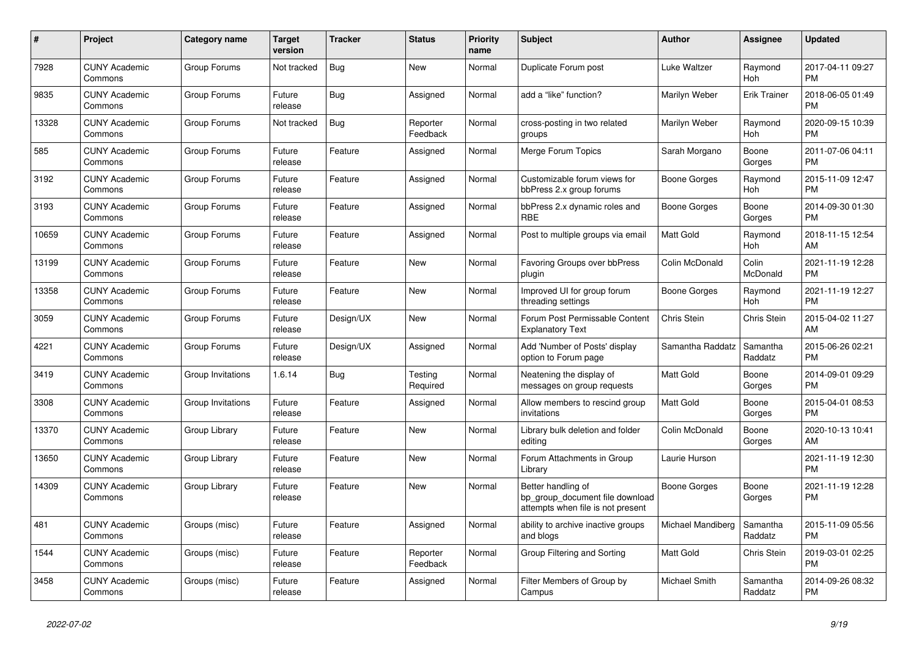| #     | Project                         | Category name     | <b>Target</b><br>version | Tracker   | <b>Status</b>        | <b>Priority</b><br>name | <b>Subject</b>                                                                             | <b>Author</b>       | Assignee              | <b>Updated</b>                |
|-------|---------------------------------|-------------------|--------------------------|-----------|----------------------|-------------------------|--------------------------------------------------------------------------------------------|---------------------|-----------------------|-------------------------------|
| 7928  | <b>CUNY Academic</b><br>Commons | Group Forums      | Not tracked              | Bug       | <b>New</b>           | Normal                  | Duplicate Forum post                                                                       | Luke Waltzer        | Raymond<br><b>Hoh</b> | 2017-04-11 09:27<br>PM        |
| 9835  | <b>CUNY Academic</b><br>Commons | Group Forums      | Future<br>release        | Bug       | Assigned             | Normal                  | add a "like" function?                                                                     | Marilyn Weber       | <b>Erik Trainer</b>   | 2018-06-05 01:49<br><b>PM</b> |
| 13328 | <b>CUNY Academic</b><br>Commons | Group Forums      | Not tracked              | Bug       | Reporter<br>Feedback | Normal                  | cross-posting in two related<br>groups                                                     | Marilyn Weber       | Raymond<br>Hoh        | 2020-09-15 10:39<br><b>PM</b> |
| 585   | <b>CUNY Academic</b><br>Commons | Group Forums      | Future<br>release        | Feature   | Assigned             | Normal                  | Merge Forum Topics                                                                         | Sarah Morgano       | Boone<br>Gorges       | 2011-07-06 04:11<br>PM        |
| 3192  | <b>CUNY Academic</b><br>Commons | Group Forums      | Future<br>release        | Feature   | Assigned             | Normal                  | Customizable forum views for<br>bbPress 2.x group forums                                   | <b>Boone Gorges</b> | Raymond<br>Hoh        | 2015-11-09 12:47<br>PM        |
| 3193  | <b>CUNY Academic</b><br>Commons | Group Forums      | Future<br>release        | Feature   | Assigned             | Normal                  | bbPress 2.x dynamic roles and<br><b>RBF</b>                                                | Boone Gorges        | Boone<br>Gorges       | 2014-09-30 01:30<br><b>PM</b> |
| 10659 | <b>CUNY Academic</b><br>Commons | Group Forums      | Future<br>release        | Feature   | Assigned             | Normal                  | Post to multiple groups via email                                                          | <b>Matt Gold</b>    | Raymond<br>Hoh        | 2018-11-15 12:54<br>AM        |
| 13199 | <b>CUNY Academic</b><br>Commons | Group Forums      | Future<br>release        | Feature   | <b>New</b>           | Normal                  | Favoring Groups over bbPress<br>plugin                                                     | Colin McDonald      | Colin<br>McDonald     | 2021-11-19 12:28<br>PM        |
| 13358 | <b>CUNY Academic</b><br>Commons | Group Forums      | Future<br>release        | Feature   | New                  | Normal                  | Improved UI for group forum<br>threading settings                                          | Boone Gorges        | Raymond<br>Hoh        | 2021-11-19 12:27<br><b>PM</b> |
| 3059  | <b>CUNY Academic</b><br>Commons | Group Forums      | Future<br>release        | Design/UX | <b>New</b>           | Normal                  | Forum Post Permissable Content<br><b>Explanatory Text</b>                                  | Chris Stein         | Chris Stein           | 2015-04-02 11:27<br>AM        |
| 4221  | <b>CUNY Academic</b><br>Commons | Group Forums      | Future<br>release        | Design/UX | Assigned             | Normal                  | Add 'Number of Posts' display<br>option to Forum page                                      | Samantha Raddatz    | Samantha<br>Raddatz   | 2015-06-26 02:21<br><b>PM</b> |
| 3419  | <b>CUNY Academic</b><br>Commons | Group Invitations | 1.6.14                   | Bug       | Testing<br>Required  | Normal                  | Neatening the display of<br>messages on group requests                                     | Matt Gold           | Boone<br>Gorges       | 2014-09-01 09:29<br><b>PM</b> |
| 3308  | <b>CUNY Academic</b><br>Commons | Group Invitations | Future<br>release        | Feature   | Assigned             | Normal                  | Allow members to rescind group<br>invitations                                              | <b>Matt Gold</b>    | Boone<br>Gorges       | 2015-04-01 08:53<br><b>PM</b> |
| 13370 | <b>CUNY Academic</b><br>Commons | Group Library     | Future<br>release        | Feature   | <b>New</b>           | Normal                  | Library bulk deletion and folder<br>editing                                                | Colin McDonald      | Boone<br>Gorges       | 2020-10-13 10:41<br>AM        |
| 13650 | <b>CUNY Academic</b><br>Commons | Group Library     | Future<br>release        | Feature   | New                  | Normal                  | Forum Attachments in Group<br>Library                                                      | Laurie Hurson       |                       | 2021-11-19 12:30<br><b>PM</b> |
| 14309 | <b>CUNY Academic</b><br>Commons | Group Library     | Future<br>release        | Feature   | New                  | Normal                  | Better handling of<br>bp_group_document file download<br>attempts when file is not present | Boone Gorges        | Boone<br>Gorges       | 2021-11-19 12:28<br><b>PM</b> |
| 481   | <b>CUNY Academic</b><br>Commons | Groups (misc)     | Future<br>release        | Feature   | Assigned             | Normal                  | ability to archive inactive groups<br>and blogs                                            | Michael Mandiberg   | Samantha<br>Raddatz   | 2015-11-09 05:56<br><b>PM</b> |
| 1544  | <b>CUNY Academic</b><br>Commons | Groups (misc)     | Future<br>release        | Feature   | Reporter<br>Feedback | Normal                  | Group Filtering and Sorting                                                                | Matt Gold           | Chris Stein           | 2019-03-01 02:25<br>PM        |
| 3458  | <b>CUNY Academic</b><br>Commons | Groups (misc)     | Future<br>release        | Feature   | Assigned             | Normal                  | Filter Members of Group by<br>Campus                                                       | Michael Smith       | Samantha<br>Raddatz   | 2014-09-26 08:32<br><b>PM</b> |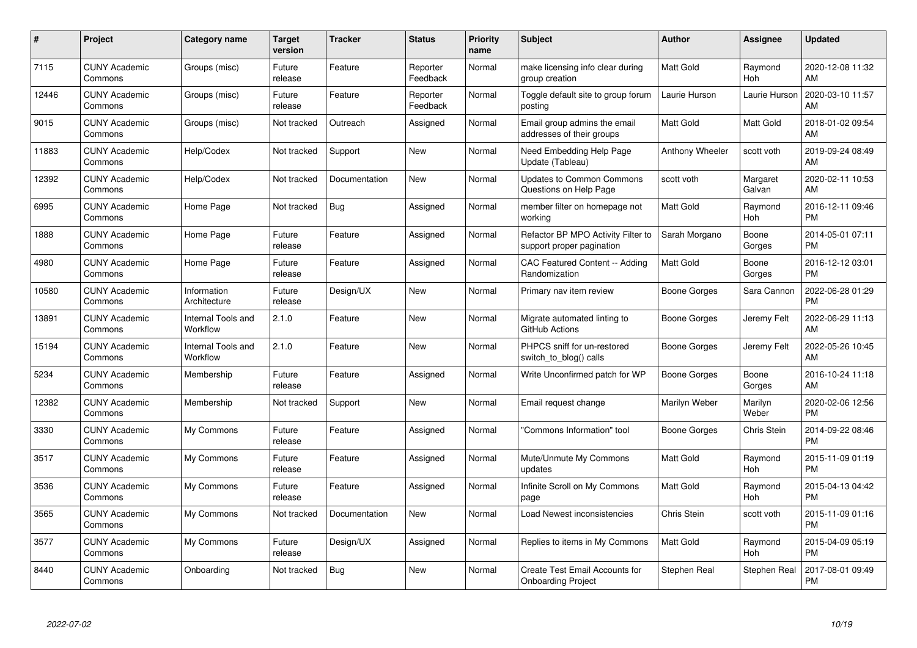| $\#$  | Project                         | <b>Category name</b>                  | <b>Target</b><br>version | <b>Tracker</b> | <b>Status</b>        | <b>Priority</b><br>name | <b>Subject</b>                                                  | <b>Author</b>    | Assignee           | <b>Updated</b>                |
|-------|---------------------------------|---------------------------------------|--------------------------|----------------|----------------------|-------------------------|-----------------------------------------------------------------|------------------|--------------------|-------------------------------|
| 7115  | <b>CUNY Academic</b><br>Commons | Groups (misc)                         | Future<br>release        | Feature        | Reporter<br>Feedback | Normal                  | make licensing info clear during<br>group creation              | Matt Gold        | Raymond<br>Hoh     | 2020-12-08 11:32<br>AM        |
| 12446 | <b>CUNY Academic</b><br>Commons | Groups (misc)                         | Future<br>release        | Feature        | Reporter<br>Feedback | Normal                  | Toggle default site to group forum<br>posting                   | Laurie Hurson    | Laurie Hurson      | 2020-03-10 11:57<br>AM        |
| 9015  | <b>CUNY Academic</b><br>Commons | Groups (misc)                         | Not tracked              | Outreach       | Assigned             | Normal                  | Email group admins the email<br>addresses of their groups       | Matt Gold        | Matt Gold          | 2018-01-02 09:54<br>AM        |
| 11883 | <b>CUNY Academic</b><br>Commons | Help/Codex                            | Not tracked              | Support        | New                  | Normal                  | Need Embedding Help Page<br>Update (Tableau)                    | Anthony Wheeler  | scott voth         | 2019-09-24 08:49<br>AM        |
| 12392 | <b>CUNY Academic</b><br>Commons | Help/Codex                            | Not tracked              | Documentation  | <b>New</b>           | Normal                  | <b>Updates to Common Commons</b><br>Questions on Help Page      | scott voth       | Margaret<br>Galvan | 2020-02-11 10:53<br>AM        |
| 6995  | <b>CUNY Academic</b><br>Commons | Home Page                             | Not tracked              | Bug            | Assigned             | Normal                  | member filter on homepage not<br>working                        | <b>Matt Gold</b> | Raymond<br>Hoh     | 2016-12-11 09:46<br><b>PM</b> |
| 1888  | <b>CUNY Academic</b><br>Commons | Home Page                             | Future<br>release        | Feature        | Assigned             | Normal                  | Refactor BP MPO Activity Filter to<br>support proper pagination | Sarah Morgano    | Boone<br>Gorges    | 2014-05-01 07:11<br><b>PM</b> |
| 4980  | <b>CUNY Academic</b><br>Commons | Home Page                             | Future<br>release        | Feature        | Assigned             | Normal                  | CAC Featured Content -- Adding<br>Randomization                 | <b>Matt Gold</b> | Boone<br>Gorges    | 2016-12-12 03:01<br><b>PM</b> |
| 10580 | <b>CUNY Academic</b><br>Commons | Information<br>Architecture           | Future<br>release        | Design/UX      | <b>New</b>           | Normal                  | Primary nav item review                                         | Boone Gorges     | Sara Cannon        | 2022-06-28 01:29<br><b>PM</b> |
| 13891 | <b>CUNY Academic</b><br>Commons | <b>Internal Tools and</b><br>Workflow | 2.1.0                    | Feature        | <b>New</b>           | Normal                  | Migrate automated linting to<br>GitHub Actions                  | Boone Gorges     | Jeremy Felt        | 2022-06-29 11:13<br>AM        |
| 15194 | <b>CUNY Academic</b><br>Commons | Internal Tools and<br>Workflow        | 2.1.0                    | Feature        | <b>New</b>           | Normal                  | PHPCS sniff for un-restored<br>switch_to_blog() calls           | Boone Gorges     | Jeremy Felt        | 2022-05-26 10:45<br>AM        |
| 5234  | <b>CUNY Academic</b><br>Commons | Membership                            | Future<br>release        | Feature        | Assigned             | Normal                  | Write Unconfirmed patch for WP                                  | Boone Gorges     | Boone<br>Gorges    | 2016-10-24 11:18<br>AM        |
| 12382 | <b>CUNY Academic</b><br>Commons | Membership                            | Not tracked              | Support        | New                  | Normal                  | Email request change                                            | Marilyn Weber    | Marilyn<br>Weber   | 2020-02-06 12:56<br><b>PM</b> |
| 3330  | <b>CUNY Academic</b><br>Commons | My Commons                            | Future<br>release        | Feature        | Assigned             | Normal                  | "Commons Information" tool                                      | Boone Gorges     | Chris Stein        | 2014-09-22 08:46<br><b>PM</b> |
| 3517  | <b>CUNY Academic</b><br>Commons | My Commons                            | Future<br>release        | Feature        | Assigned             | Normal                  | Mute/Unmute My Commons<br>updates                               | Matt Gold        | Raymond<br>Hoh     | 2015-11-09 01:19<br><b>PM</b> |
| 3536  | <b>CUNY Academic</b><br>Commons | My Commons                            | Future<br>release        | Feature        | Assigned             | Normal                  | Infinite Scroll on My Commons<br>page                           | Matt Gold        | Raymond<br>Hoh     | 2015-04-13 04:42<br><b>PM</b> |
| 3565  | <b>CUNY Academic</b><br>Commons | My Commons                            | Not tracked              | Documentation  | New                  | Normal                  | Load Newest inconsistencies                                     | Chris Stein      | scott voth         | 2015-11-09 01:16<br><b>PM</b> |
| 3577  | <b>CUNY Academic</b><br>Commons | My Commons                            | Future<br>release        | Design/UX      | Assigned             | Normal                  | Replies to items in My Commons                                  | Matt Gold        | Raymond<br>Hoh     | 2015-04-09 05:19<br><b>PM</b> |
| 8440  | <b>CUNY Academic</b><br>Commons | Onboarding                            | Not tracked              | Bug            | <b>New</b>           | Normal                  | Create Test Email Accounts for<br><b>Onboarding Project</b>     | Stephen Real     | Stephen Real       | 2017-08-01 09:49<br><b>PM</b> |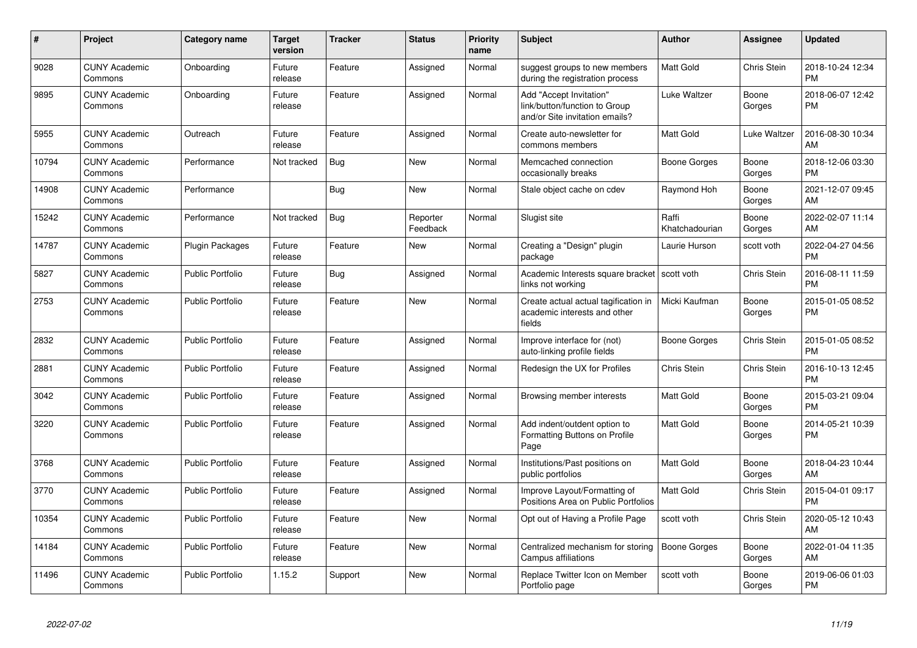| #     | Project                         | <b>Category name</b>    | <b>Target</b><br>version | <b>Tracker</b> | <b>Status</b>        | <b>Priority</b><br>name | <b>Subject</b>                                                                             | <b>Author</b>           | <b>Assignee</b> | <b>Updated</b>                |
|-------|---------------------------------|-------------------------|--------------------------|----------------|----------------------|-------------------------|--------------------------------------------------------------------------------------------|-------------------------|-----------------|-------------------------------|
| 9028  | <b>CUNY Academic</b><br>Commons | Onboarding              | Future<br>release        | Feature        | Assigned             | Normal                  | suggest groups to new members<br>during the registration process                           | <b>Matt Gold</b>        | Chris Stein     | 2018-10-24 12:34<br><b>PM</b> |
| 9895  | <b>CUNY Academic</b><br>Commons | Onboarding              | Future<br>release        | Feature        | Assigned             | Normal                  | Add "Accept Invitation"<br>link/button/function to Group<br>and/or Site invitation emails? | Luke Waltzer            | Boone<br>Gorges | 2018-06-07 12:42<br><b>PM</b> |
| 5955  | <b>CUNY Academic</b><br>Commons | Outreach                | Future<br>release        | Feature        | Assigned             | Normal                  | Create auto-newsletter for<br>commons members                                              | <b>Matt Gold</b>        | Luke Waltzer    | 2016-08-30 10:34<br>AM        |
| 10794 | <b>CUNY Academic</b><br>Commons | Performance             | Not tracked              | Bug            | New                  | Normal                  | Memcached connection<br>occasionally breaks                                                | Boone Gorges            | Boone<br>Gorges | 2018-12-06 03:30<br><b>PM</b> |
| 14908 | <b>CUNY Academic</b><br>Commons | Performance             |                          | <b>Bug</b>     | New                  | Normal                  | Stale object cache on cdev                                                                 | Raymond Hoh             | Boone<br>Gorges | 2021-12-07 09:45<br>AM        |
| 15242 | <b>CUNY Academic</b><br>Commons | Performance             | Not tracked              | <b>Bug</b>     | Reporter<br>Feedback | Normal                  | Slugist site                                                                               | Raffi<br>Khatchadourian | Boone<br>Gorges | 2022-02-07 11:14<br>AM        |
| 14787 | <b>CUNY Academic</b><br>Commons | Plugin Packages         | Future<br>release        | Feature        | New                  | Normal                  | Creating a "Design" plugin<br>package                                                      | Laurie Hurson           | scott voth      | 2022-04-27 04:56<br><b>PM</b> |
| 5827  | <b>CUNY Academic</b><br>Commons | <b>Public Portfolio</b> | Future<br>release        | Bug            | Assigned             | Normal                  | Academic Interests square bracket<br>links not working                                     | scott voth              | Chris Stein     | 2016-08-11 11:59<br><b>PM</b> |
| 2753  | <b>CUNY Academic</b><br>Commons | <b>Public Portfolio</b> | Future<br>release        | Feature        | New                  | Normal                  | Create actual actual tagification in<br>academic interests and other<br>fields             | Micki Kaufman           | Boone<br>Gorges | 2015-01-05 08:52<br><b>PM</b> |
| 2832  | <b>CUNY Academic</b><br>Commons | <b>Public Portfolio</b> | Future<br>release        | Feature        | Assigned             | Normal                  | Improve interface for (not)<br>auto-linking profile fields                                 | Boone Gorges            | Chris Stein     | 2015-01-05 08:52<br><b>PM</b> |
| 2881  | <b>CUNY Academic</b><br>Commons | <b>Public Portfolio</b> | Future<br>release        | Feature        | Assigned             | Normal                  | Redesign the UX for Profiles                                                               | Chris Stein             | Chris Stein     | 2016-10-13 12:45<br><b>PM</b> |
| 3042  | <b>CUNY Academic</b><br>Commons | Public Portfolio        | Future<br>release        | Feature        | Assigned             | Normal                  | Browsing member interests                                                                  | Matt Gold               | Boone<br>Gorges | 2015-03-21 09:04<br><b>PM</b> |
| 3220  | <b>CUNY Academic</b><br>Commons | <b>Public Portfolio</b> | Future<br>release        | Feature        | Assigned             | Normal                  | Add indent/outdent option to<br>Formatting Buttons on Profile<br>Page                      | <b>Matt Gold</b>        | Boone<br>Gorges | 2014-05-21 10:39<br><b>PM</b> |
| 3768  | <b>CUNY Academic</b><br>Commons | Public Portfolio        | Future<br>release        | Feature        | Assigned             | Normal                  | Institutions/Past positions on<br>public portfolios                                        | <b>Matt Gold</b>        | Boone<br>Gorges | 2018-04-23 10:44<br>AM        |
| 3770  | <b>CUNY Academic</b><br>Commons | <b>Public Portfolio</b> | Future<br>release        | Feature        | Assigned             | Normal                  | Improve Layout/Formatting of<br>Positions Area on Public Portfolios                        | <b>Matt Gold</b>        | Chris Stein     | 2015-04-01 09:17<br><b>PM</b> |
| 10354 | <b>CUNY Academic</b><br>Commons | <b>Public Portfolio</b> | Future<br>release        | Feature        | <b>New</b>           | Normal                  | Opt out of Having a Profile Page                                                           | scott voth              | Chris Stein     | 2020-05-12 10:43<br>AM        |
| 14184 | <b>CUNY Academic</b><br>Commons | <b>Public Portfolio</b> | Future<br>release        | Feature        | <b>New</b>           | Normal                  | Centralized mechanism for storing<br>Campus affiliations                                   | <b>Boone Gorges</b>     | Boone<br>Gorges | 2022-01-04 11:35<br>AM        |
| 11496 | <b>CUNY Academic</b><br>Commons | <b>Public Portfolio</b> | 1.15.2                   | Support        | <b>New</b>           | Normal                  | Replace Twitter Icon on Member<br>Portfolio page                                           | scott voth              | Boone<br>Gorges | 2019-06-06 01:03<br><b>PM</b> |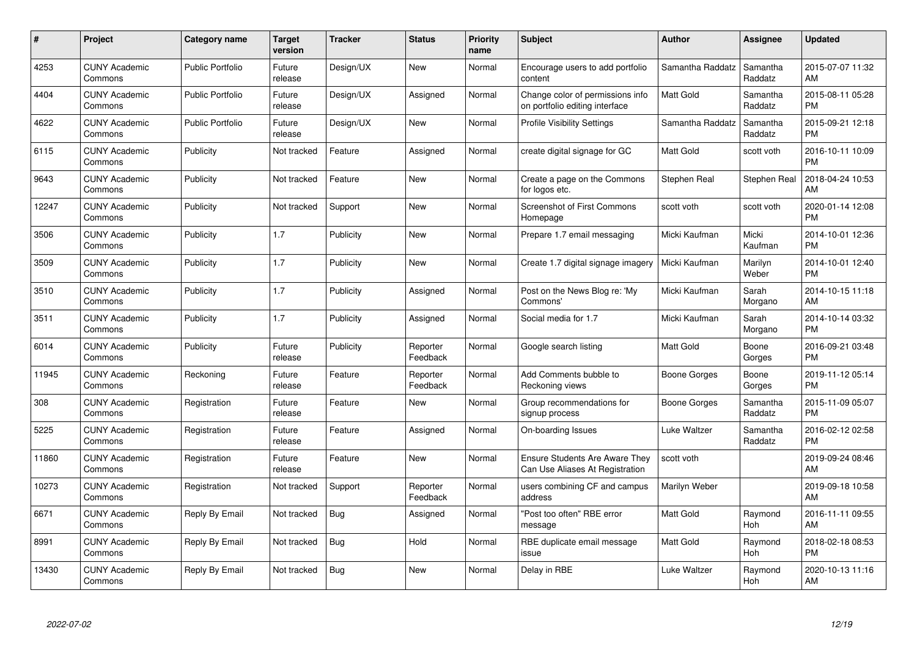| #     | <b>Project</b>                  | Category name           | Target<br>version | <b>Tracker</b> | <b>Status</b>        | <b>Priority</b><br>name | <b>Subject</b>                                                           | <b>Author</b>    | Assignee            | <b>Updated</b>                |
|-------|---------------------------------|-------------------------|-------------------|----------------|----------------------|-------------------------|--------------------------------------------------------------------------|------------------|---------------------|-------------------------------|
| 4253  | <b>CUNY Academic</b><br>Commons | <b>Public Portfolio</b> | Future<br>release | Design/UX      | <b>New</b>           | Normal                  | Encourage users to add portfolio<br>content                              | Samantha Raddatz | Samantha<br>Raddatz | 2015-07-07 11:32<br>AM        |
| 4404  | <b>CUNY Academic</b><br>Commons | <b>Public Portfolio</b> | Future<br>release | Design/UX      | Assigned             | Normal                  | Change color of permissions info<br>on portfolio editing interface       | Matt Gold        | Samantha<br>Raddatz | 2015-08-11 05:28<br>PM.       |
| 4622  | <b>CUNY Academic</b><br>Commons | <b>Public Portfolio</b> | Future<br>release | Design/UX      | <b>New</b>           | Normal                  | <b>Profile Visibility Settings</b>                                       | Samantha Raddatz | Samantha<br>Raddatz | 2015-09-21 12:18<br><b>PM</b> |
| 6115  | <b>CUNY Academic</b><br>Commons | Publicity               | Not tracked       | Feature        | Assigned             | Normal                  | create digital signage for GC                                            | <b>Matt Gold</b> | scott voth          | 2016-10-11 10:09<br><b>PM</b> |
| 9643  | <b>CUNY Academic</b><br>Commons | Publicity               | Not tracked       | Feature        | <b>New</b>           | Normal                  | Create a page on the Commons<br>for logos etc.                           | Stephen Real     | Stephen Real        | 2018-04-24 10:53<br>AM        |
| 12247 | <b>CUNY Academic</b><br>Commons | Publicity               | Not tracked       | Support        | <b>New</b>           | Normal                  | <b>Screenshot of First Commons</b><br>Homepage                           | scott voth       | scott voth          | 2020-01-14 12:08<br><b>PM</b> |
| 3506  | <b>CUNY Academic</b><br>Commons | Publicity               | 1.7               | Publicity      | New                  | Normal                  | Prepare 1.7 email messaging                                              | Micki Kaufman    | Micki<br>Kaufman    | 2014-10-01 12:36<br><b>PM</b> |
| 3509  | <b>CUNY Academic</b><br>Commons | Publicity               | 1.7               | Publicity      | <b>New</b>           | Normal                  | Create 1.7 digital signage imagery                                       | Micki Kaufman    | Marilyn<br>Weber    | 2014-10-01 12:40<br><b>PM</b> |
| 3510  | <b>CUNY Academic</b><br>Commons | Publicity               | 1.7               | Publicity      | Assigned             | Normal                  | Post on the News Blog re: 'My<br>Commons'                                | Micki Kaufman    | Sarah<br>Morgano    | 2014-10-15 11:18<br>AM        |
| 3511  | <b>CUNY Academic</b><br>Commons | Publicity               | 1.7               | Publicity      | Assigned             | Normal                  | Social media for 1.7                                                     | Micki Kaufman    | Sarah<br>Morgano    | 2014-10-14 03:32<br>PM        |
| 6014  | <b>CUNY Academic</b><br>Commons | Publicity               | Future<br>release | Publicity      | Reporter<br>Feedback | Normal                  | Google search listing                                                    | Matt Gold        | Boone<br>Gorges     | 2016-09-21 03:48<br><b>PM</b> |
| 11945 | <b>CUNY Academic</b><br>Commons | Reckoning               | Future<br>release | Feature        | Reporter<br>Feedback | Normal                  | Add Comments bubble to<br>Reckoning views                                | Boone Gorges     | Boone<br>Gorges     | 2019-11-12 05:14<br><b>PM</b> |
| 308   | <b>CUNY Academic</b><br>Commons | Registration            | Future<br>release | Feature        | New                  | Normal                  | Group recommendations for<br>signup process                              | Boone Gorges     | Samantha<br>Raddatz | 2015-11-09 05:07<br>PM.       |
| 5225  | <b>CUNY Academic</b><br>Commons | Registration            | Future<br>release | Feature        | Assigned             | Normal                  | On-boarding Issues                                                       | Luke Waltzer     | Samantha<br>Raddatz | 2016-02-12 02:58<br><b>PM</b> |
| 11860 | <b>CUNY Academic</b><br>Commons | Registration            | Future<br>release | Feature        | New                  | Normal                  | <b>Ensure Students Are Aware They</b><br>Can Use Aliases At Registration | scott voth       |                     | 2019-09-24 08:46<br><b>AM</b> |
| 10273 | <b>CUNY Academic</b><br>Commons | Registration            | Not tracked       | Support        | Reporter<br>Feedback | Normal                  | users combining CF and campus<br>address                                 | Marilyn Weber    |                     | 2019-09-18 10:58<br>AM        |
| 6671  | <b>CUNY Academic</b><br>Commons | Reply By Email          | Not tracked       | Bug            | Assigned             | Normal                  | "Post too often" RBE error<br>message                                    | <b>Matt Gold</b> | Raymond<br>Hoh      | 2016-11-11 09:55<br>AM        |
| 8991  | <b>CUNY Academic</b><br>Commons | Reply By Email          | Not tracked       | <b>Bug</b>     | Hold                 | Normal                  | RBE duplicate email message<br>issue                                     | Matt Gold        | Raymond<br>Hoh      | 2018-02-18 08:53<br><b>PM</b> |
| 13430 | <b>CUNY Academic</b><br>Commons | Reply By Email          | Not tracked       | Bug            | <b>New</b>           | Normal                  | Delay in RBE                                                             | Luke Waltzer     | Raymond<br>Hoh      | 2020-10-13 11:16<br>AM        |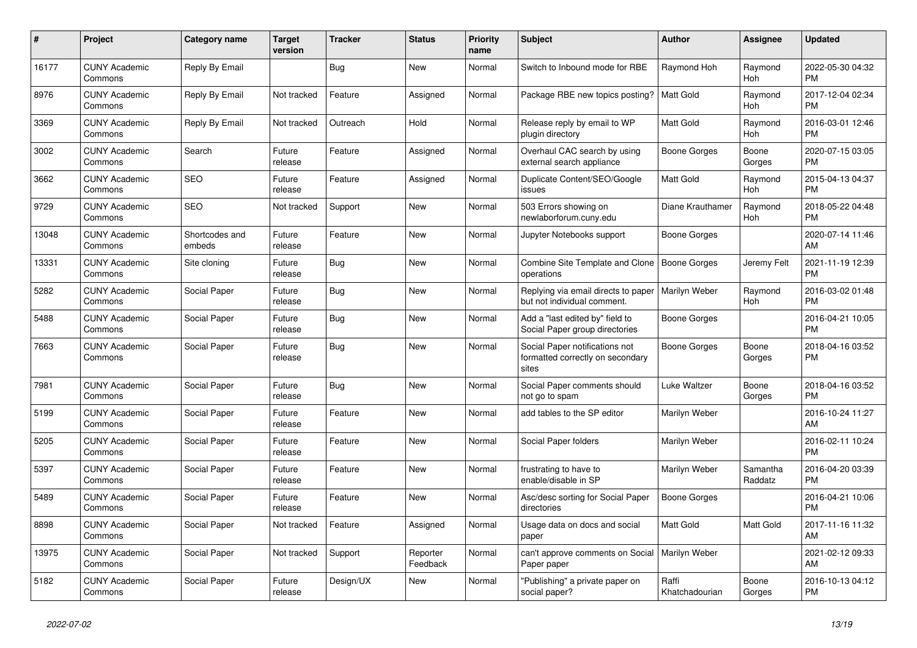| $\#$  | Project                         | <b>Category name</b>     | <b>Target</b><br>version | <b>Tracker</b> | <b>Status</b>        | Priority<br>name | <b>Subject</b>                                                              | <b>Author</b>           | <b>Assignee</b>     | <b>Updated</b>                |
|-------|---------------------------------|--------------------------|--------------------------|----------------|----------------------|------------------|-----------------------------------------------------------------------------|-------------------------|---------------------|-------------------------------|
| 16177 | <b>CUNY Academic</b><br>Commons | Reply By Email           |                          | <b>Bug</b>     | <b>New</b>           | Normal           | Switch to Inbound mode for RBE                                              | Raymond Hoh             | Raymond<br>Hoh      | 2022-05-30 04:32<br><b>PM</b> |
| 8976  | <b>CUNY Academic</b><br>Commons | Reply By Email           | Not tracked              | Feature        | Assigned             | Normal           | Package RBE new topics posting?                                             | <b>Matt Gold</b>        | Raymond<br>Hoh      | 2017-12-04 02:34<br><b>PM</b> |
| 3369  | <b>CUNY Academic</b><br>Commons | Reply By Email           | Not tracked              | Outreach       | Hold                 | Normal           | Release reply by email to WP<br>plugin directory                            | Matt Gold               | Raymond<br>Hoh      | 2016-03-01 12:46<br><b>PM</b> |
| 3002  | <b>CUNY Academic</b><br>Commons | Search                   | Future<br>release        | Feature        | Assigned             | Normal           | Overhaul CAC search by using<br>external search appliance                   | Boone Gorges            | Boone<br>Gorges     | 2020-07-15 03:05<br><b>PM</b> |
| 3662  | <b>CUNY Academic</b><br>Commons | SEO                      | Future<br>release        | Feature        | Assigned             | Normal           | Duplicate Content/SEO/Google<br>issues                                      | Matt Gold               | Raymond<br>Hoh      | 2015-04-13 04:37<br><b>PM</b> |
| 9729  | <b>CUNY Academic</b><br>Commons | <b>SEO</b>               | Not tracked              | Support        | <b>New</b>           | Normal           | 503 Errors showing on<br>newlaborforum.cuny.edu                             | Diane Krauthamer        | Raymond<br>Hoh      | 2018-05-22 04:48<br><b>PM</b> |
| 13048 | <b>CUNY Academic</b><br>Commons | Shortcodes and<br>embeds | Future<br>release        | Feature        | <b>New</b>           | Normal           | Jupyter Notebooks support                                                   | Boone Gorges            |                     | 2020-07-14 11:46<br>AM        |
| 13331 | <b>CUNY Academic</b><br>Commons | Site cloning             | Future<br>release        | Bug            | New                  | Normal           | Combine Site Template and Clone<br>operations                               | <b>Boone Gorges</b>     | Jeremy Felt         | 2021-11-19 12:39<br><b>PM</b> |
| 5282  | <b>CUNY Academic</b><br>Commons | Social Paper             | Future<br>release        | <b>Bug</b>     | <b>New</b>           | Normal           | Replying via email directs to paper<br>but not individual comment.          | Marilyn Weber           | Raymond<br>Hoh      | 2016-03-02 01:48<br><b>PM</b> |
| 5488  | <b>CUNY Academic</b><br>Commons | Social Paper             | Future<br>release        | <b>Bug</b>     | <b>New</b>           | Normal           | Add a "last edited by" field to<br>Social Paper group directories           | Boone Gorges            |                     | 2016-04-21 10:05<br><b>PM</b> |
| 7663  | <b>CUNY Academic</b><br>Commons | Social Paper             | Future<br>release        | Bug            | New                  | Normal           | Social Paper notifications not<br>formatted correctly on secondary<br>sites | <b>Boone Gorges</b>     | Boone<br>Gorges     | 2018-04-16 03:52<br><b>PM</b> |
| 7981  | <b>CUNY Academic</b><br>Commons | Social Paper             | Future<br>release        | <b>Bug</b>     | <b>New</b>           | Normal           | Social Paper comments should<br>not go to spam                              | Luke Waltzer            | Boone<br>Gorges     | 2018-04-16 03:52<br><b>PM</b> |
| 5199  | <b>CUNY Academic</b><br>Commons | Social Paper             | Future<br>release        | Feature        | <b>New</b>           | Normal           | add tables to the SP editor                                                 | Marilyn Weber           |                     | 2016-10-24 11:27<br>AM        |
| 5205  | <b>CUNY Academic</b><br>Commons | Social Paper             | Future<br>release        | Feature        | New                  | Normal           | Social Paper folders                                                        | Marilyn Weber           |                     | 2016-02-11 10:24<br><b>PM</b> |
| 5397  | <b>CUNY Academic</b><br>Commons | Social Paper             | Future<br>release        | Feature        | New                  | Normal           | frustrating to have to<br>enable/disable in SP                              | Marilyn Weber           | Samantha<br>Raddatz | 2016-04-20 03:39<br><b>PM</b> |
| 5489  | <b>CUNY Academic</b><br>Commons | Social Paper             | Future<br>release        | Feature        | <b>New</b>           | Normal           | Asc/desc sorting for Social Paper<br>directories                            | <b>Boone Gorges</b>     |                     | 2016-04-21 10:06<br><b>PM</b> |
| 8898  | <b>CUNY Academic</b><br>Commons | Social Paper             | Not tracked              | Feature        | Assigned             | Normal           | Usage data on docs and social<br>paper                                      | Matt Gold               | Matt Gold           | 2017-11-16 11:32<br>AM        |
| 13975 | <b>CUNY Academic</b><br>Commons | Social Paper             | Not tracked              | Support        | Reporter<br>Feedback | Normal           | can't approve comments on Social<br>Paper paper                             | Marilyn Weber           |                     | 2021-02-12 09:33<br>AM        |
| 5182  | <b>CUNY Academic</b><br>Commons | Social Paper             | Future<br>release        | Design/UX      | <b>New</b>           | Normal           | "Publishing" a private paper on<br>social paper?                            | Raffi<br>Khatchadourian | Boone<br>Gorges     | 2016-10-13 04:12<br><b>PM</b> |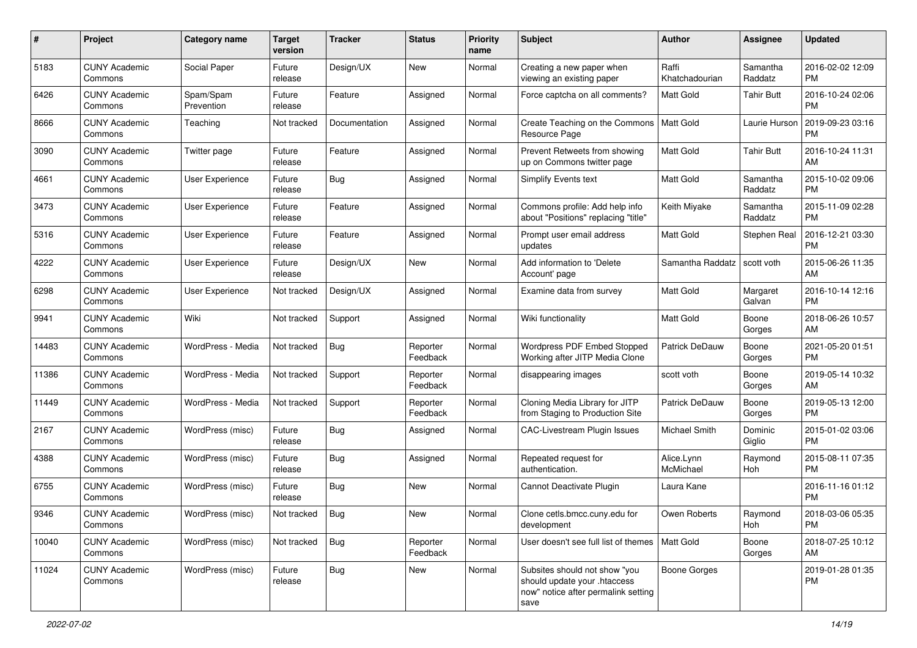| #     | Project                         | <b>Category name</b>    | <b>Target</b><br>version | <b>Tracker</b> | <b>Status</b>        | Priority<br>name | <b>Subject</b>                                                                                               | Author                  | <b>Assignee</b>     | <b>Updated</b>                |
|-------|---------------------------------|-------------------------|--------------------------|----------------|----------------------|------------------|--------------------------------------------------------------------------------------------------------------|-------------------------|---------------------|-------------------------------|
| 5183  | <b>CUNY Academic</b><br>Commons | Social Paper            | Future<br>release        | Design/UX      | <b>New</b>           | Normal           | Creating a new paper when<br>viewing an existing paper                                                       | Raffi<br>Khatchadourian | Samantha<br>Raddatz | 2016-02-02 12:09<br><b>PM</b> |
| 6426  | <b>CUNY Academic</b><br>Commons | Spam/Spam<br>Prevention | Future<br>release        | Feature        | Assigned             | Normal           | Force captcha on all comments?                                                                               | Matt Gold               | <b>Tahir Butt</b>   | 2016-10-24 02:06<br><b>PM</b> |
| 8666  | <b>CUNY Academic</b><br>Commons | Teaching                | Not tracked              | Documentation  | Assigned             | Normal           | Create Teaching on the Commons<br>Resource Page                                                              | Matt Gold               | Laurie Hurson       | 2019-09-23 03:16<br><b>PM</b> |
| 3090  | <b>CUNY Academic</b><br>Commons | Twitter page            | Future<br>release        | Feature        | Assigned             | Normal           | Prevent Retweets from showing<br>up on Commons twitter page                                                  | <b>Matt Gold</b>        | <b>Tahir Butt</b>   | 2016-10-24 11:31<br>AM        |
| 4661  | <b>CUNY Academic</b><br>Commons | User Experience         | Future<br>release        | Bug            | Assigned             | Normal           | <b>Simplify Events text</b>                                                                                  | <b>Matt Gold</b>        | Samantha<br>Raddatz | 2015-10-02 09:06<br><b>PM</b> |
| 3473  | <b>CUNY Academic</b><br>Commons | User Experience         | Future<br>release        | Feature        | Assigned             | Normal           | Commons profile: Add help info<br>about "Positions" replacing "title"                                        | Keith Miyake            | Samantha<br>Raddatz | 2015-11-09 02:28<br><b>PM</b> |
| 5316  | <b>CUNY Academic</b><br>Commons | <b>User Experience</b>  | Future<br>release        | Feature        | Assigned             | Normal           | Prompt user email address<br>updates                                                                         | <b>Matt Gold</b>        | Stephen Real        | 2016-12-21 03:30<br><b>PM</b> |
| 4222  | <b>CUNY Academic</b><br>Commons | User Experience         | Future<br>release        | Design/UX      | New                  | Normal           | Add information to 'Delete<br>Account' page                                                                  | Samantha Raddatz        | scott voth          | 2015-06-26 11:35<br>AM        |
| 6298  | <b>CUNY Academic</b><br>Commons | User Experience         | Not tracked              | Design/UX      | Assigned             | Normal           | Examine data from survey                                                                                     | <b>Matt Gold</b>        | Margaret<br>Galvan  | 2016-10-14 12:16<br><b>PM</b> |
| 9941  | <b>CUNY Academic</b><br>Commons | Wiki                    | Not tracked              | Support        | Assigned             | Normal           | Wiki functionality                                                                                           | Matt Gold               | Boone<br>Gorges     | 2018-06-26 10:57<br>AM        |
| 14483 | <b>CUNY Academic</b><br>Commons | WordPress - Media       | Not tracked              | Bug            | Reporter<br>Feedback | Normal           | Wordpress PDF Embed Stopped<br>Working after JITP Media Clone                                                | Patrick DeDauw          | Boone<br>Gorges     | 2021-05-20 01:51<br><b>PM</b> |
| 11386 | <b>CUNY Academic</b><br>Commons | WordPress - Media       | Not tracked              | Support        | Reporter<br>Feedback | Normal           | disappearing images                                                                                          | scott voth              | Boone<br>Gorges     | 2019-05-14 10:32<br>AM        |
| 11449 | <b>CUNY Academic</b><br>Commons | WordPress - Media       | Not tracked              | Support        | Reporter<br>Feedback | Normal           | Cloning Media Library for JITP<br>from Staging to Production Site                                            | Patrick DeDauw          | Boone<br>Gorges     | 2019-05-13 12:00<br><b>PM</b> |
| 2167  | <b>CUNY Academic</b><br>Commons | WordPress (misc)        | Future<br>release        | Bug            | Assigned             | Normal           | <b>CAC-Livestream Plugin Issues</b>                                                                          | Michael Smith           | Dominic<br>Giglio   | 2015-01-02 03:06<br><b>PM</b> |
| 4388  | <b>CUNY Academic</b><br>Commons | WordPress (misc)        | Future<br>release        | <b>Bug</b>     | Assigned             | Normal           | Repeated request for<br>authentication.                                                                      | Alice.Lynn<br>McMichael | Raymond<br>Hoh      | 2015-08-11 07:35<br><b>PM</b> |
| 6755  | <b>CUNY Academic</b><br>Commons | WordPress (misc)        | Future<br>release        | Bug            | New                  | Normal           | Cannot Deactivate Plugin                                                                                     | Laura Kane              |                     | 2016-11-16 01:12<br><b>PM</b> |
| 9346  | <b>CUNY Academic</b><br>Commons | WordPress (misc)        | Not tracked              | Bug            | New                  | Normal           | Clone cetls.bmcc.cuny.edu for<br>development                                                                 | Owen Roberts            | Raymond<br>Hoh      | 2018-03-06 05:35<br>PM        |
| 10040 | <b>CUNY Academic</b><br>Commons | WordPress (misc)        | Not tracked              | <b>Bug</b>     | Reporter<br>Feedback | Normal           | User doesn't see full list of themes   Matt Gold                                                             |                         | Boone<br>Gorges     | 2018-07-25 10:12<br>AM        |
| 11024 | <b>CUNY Academic</b><br>Commons | WordPress (misc)        | Future<br>release        | Bug            | New                  | Normal           | Subsites should not show "you<br>should update your .htaccess<br>now" notice after permalink setting<br>save | Boone Gorges            |                     | 2019-01-28 01:35<br><b>PM</b> |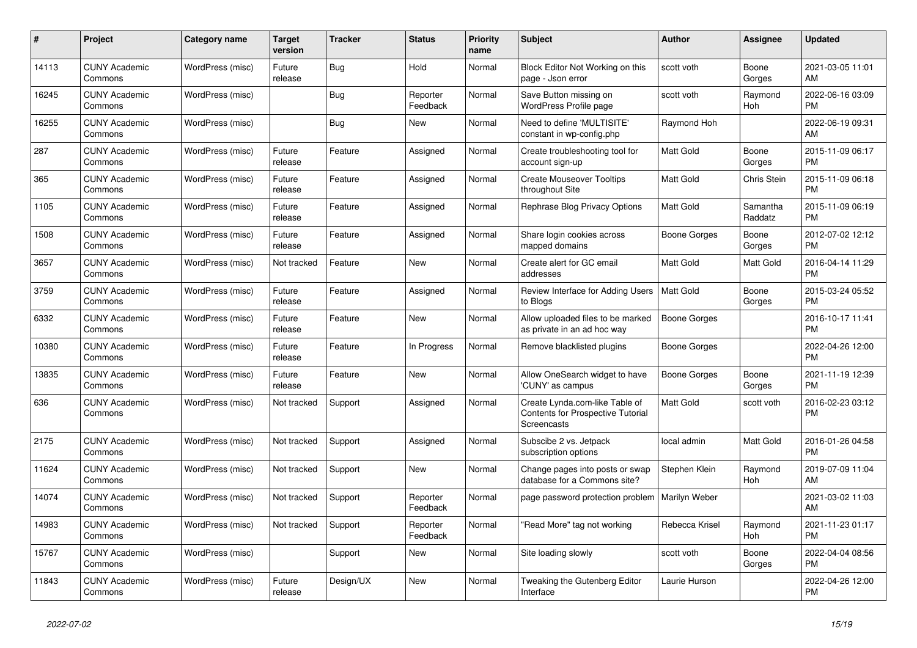| #     | <b>Project</b>                  | Category name    | <b>Target</b><br>version | <b>Tracker</b> | <b>Status</b>        | <b>Priority</b><br>name | <b>Subject</b>                                                                            | <b>Author</b>       | Assignee            | <b>Updated</b>                |
|-------|---------------------------------|------------------|--------------------------|----------------|----------------------|-------------------------|-------------------------------------------------------------------------------------------|---------------------|---------------------|-------------------------------|
| 14113 | <b>CUNY Academic</b><br>Commons | WordPress (misc) | Future<br>release        | <b>Bug</b>     | Hold                 | Normal                  | Block Editor Not Working on this<br>page - Json error                                     | scott voth          | Boone<br>Gorges     | 2021-03-05 11:01<br>AM        |
| 16245 | <b>CUNY Academic</b><br>Commons | WordPress (misc) |                          | Bug            | Reporter<br>Feedback | Normal                  | Save Button missing on<br>WordPress Profile page                                          | scott voth          | Raymond<br>Hoh      | 2022-06-16 03:09<br><b>PM</b> |
| 16255 | <b>CUNY Academic</b><br>Commons | WordPress (misc) |                          | <b>Bug</b>     | New                  | Normal                  | Need to define 'MULTISITE'<br>constant in wp-config.php                                   | Raymond Hoh         |                     | 2022-06-19 09:31<br>AM        |
| 287   | <b>CUNY Academic</b><br>Commons | WordPress (misc) | Future<br>release        | Feature        | Assigned             | Normal                  | Create troubleshooting tool for<br>account sign-up                                        | <b>Matt Gold</b>    | Boone<br>Gorges     | 2015-11-09 06:17<br><b>PM</b> |
| 365   | <b>CUNY Academic</b><br>Commons | WordPress (misc) | Future<br>release        | Feature        | Assigned             | Normal                  | <b>Create Mouseover Tooltips</b><br>throughout Site                                       | Matt Gold           | Chris Stein         | 2015-11-09 06:18<br><b>PM</b> |
| 1105  | <b>CUNY Academic</b><br>Commons | WordPress (misc) | Future<br>release        | Feature        | Assigned             | Normal                  | Rephrase Blog Privacy Options                                                             | Matt Gold           | Samantha<br>Raddatz | 2015-11-09 06:19<br><b>PM</b> |
| 1508  | <b>CUNY Academic</b><br>Commons | WordPress (misc) | Future<br>release        | Feature        | Assigned             | Normal                  | Share login cookies across<br>mapped domains                                              | Boone Gorges        | Boone<br>Gorges     | 2012-07-02 12:12<br><b>PM</b> |
| 3657  | <b>CUNY Academic</b><br>Commons | WordPress (misc) | Not tracked              | Feature        | New                  | Normal                  | Create alert for GC email<br>addresses                                                    | Matt Gold           | Matt Gold           | 2016-04-14 11:29<br><b>PM</b> |
| 3759  | <b>CUNY Academic</b><br>Commons | WordPress (misc) | Future<br>release        | Feature        | Assigned             | Normal                  | Review Interface for Adding Users<br>to Blogs                                             | <b>Matt Gold</b>    | Boone<br>Gorges     | 2015-03-24 05:52<br><b>PM</b> |
| 6332  | <b>CUNY Academic</b><br>Commons | WordPress (misc) | Future<br>release        | Feature        | <b>New</b>           | Normal                  | Allow uploaded files to be marked<br>as private in an ad hoc way                          | <b>Boone Gorges</b> |                     | 2016-10-17 11:41<br><b>PM</b> |
| 10380 | <b>CUNY Academic</b><br>Commons | WordPress (misc) | Future<br>release        | Feature        | In Progress          | Normal                  | Remove blacklisted plugins                                                                | Boone Gorges        |                     | 2022-04-26 12:00<br><b>PM</b> |
| 13835 | <b>CUNY Academic</b><br>Commons | WordPress (misc) | Future<br>release        | Feature        | New                  | Normal                  | Allow OneSearch widget to have<br>'CUNY' as campus                                        | Boone Gorges        | Boone<br>Gorges     | 2021-11-19 12:39<br><b>PM</b> |
| 636   | <b>CUNY Academic</b><br>Commons | WordPress (misc) | Not tracked              | Support        | Assigned             | Normal                  | Create Lynda.com-like Table of<br><b>Contents for Prospective Tutorial</b><br>Screencasts | Matt Gold           | scott voth          | 2016-02-23 03:12<br><b>PM</b> |
| 2175  | <b>CUNY Academic</b><br>Commons | WordPress (misc) | Not tracked              | Support        | Assigned             | Normal                  | Subscibe 2 vs. Jetpack<br>subscription options                                            | local admin         | Matt Gold           | 2016-01-26 04:58<br><b>PM</b> |
| 11624 | <b>CUNY Academic</b><br>Commons | WordPress (misc) | Not tracked              | Support        | <b>New</b>           | Normal                  | Change pages into posts or swap<br>database for a Commons site?                           | Stephen Klein       | Raymond<br>Hoh      | 2019-07-09 11:04<br>AM        |
| 14074 | <b>CUNY Academic</b><br>Commons | WordPress (misc) | Not tracked              | Support        | Reporter<br>Feedback | Normal                  | page password protection problem                                                          | Marilyn Weber       |                     | 2021-03-02 11:03<br>AM        |
| 14983 | <b>CUNY Academic</b><br>Commons | WordPress (misc) | Not tracked              | Support        | Reporter<br>Feedback | Normal                  | "Read More" tag not working                                                               | Rebecca Krisel      | Raymond<br>Hoh      | 2021-11-23 01:17<br><b>PM</b> |
| 15767 | <b>CUNY Academic</b><br>Commons | WordPress (misc) |                          | Support        | New                  | Normal                  | Site loading slowly                                                                       | scott voth          | Boone<br>Gorges     | 2022-04-04 08:56<br><b>PM</b> |
| 11843 | CUNY Academic<br>Commons        | WordPress (misc) | Future<br>release        | Design/UX      | <b>New</b>           | Normal                  | Tweaking the Gutenberg Editor<br>Interface                                                | Laurie Hurson       |                     | 2022-04-26 12:00<br><b>PM</b> |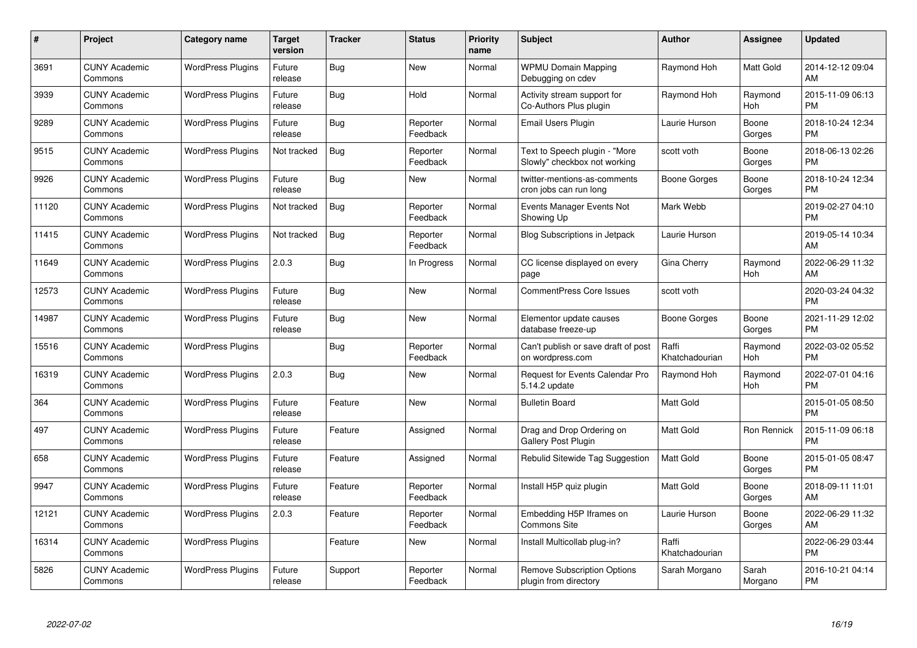| $\#$  | Project                         | <b>Category name</b>     | <b>Target</b><br>version | <b>Tracker</b> | <b>Status</b>        | Priority<br>name | <b>Subject</b>                                                | <b>Author</b>           | <b>Assignee</b>  | <b>Updated</b>                |
|-------|---------------------------------|--------------------------|--------------------------|----------------|----------------------|------------------|---------------------------------------------------------------|-------------------------|------------------|-------------------------------|
| 3691  | <b>CUNY Academic</b><br>Commons | <b>WordPress Plugins</b> | Future<br>release        | Bug            | <b>New</b>           | Normal           | <b>WPMU Domain Mapping</b><br>Debugging on cdev               | Raymond Hoh             | Matt Gold        | 2014-12-12 09:04<br>AM        |
| 3939  | <b>CUNY Academic</b><br>Commons | <b>WordPress Plugins</b> | Future<br>release        | Bug            | Hold                 | Normal           | Activity stream support for<br>Co-Authors Plus plugin         | Raymond Hoh             | Raymond<br>Hoh   | 2015-11-09 06:13<br><b>PM</b> |
| 9289  | <b>CUNY Academic</b><br>Commons | <b>WordPress Plugins</b> | Future<br>release        | <b>Bug</b>     | Reporter<br>Feedback | Normal           | Email Users Plugin                                            | Laurie Hurson           | Boone<br>Gorges  | 2018-10-24 12:34<br><b>PM</b> |
| 9515  | <b>CUNY Academic</b><br>Commons | <b>WordPress Plugins</b> | Not tracked              | Bug            | Reporter<br>Feedback | Normal           | Text to Speech plugin - "More<br>Slowly" checkbox not working | scott voth              | Boone<br>Gorges  | 2018-06-13 02:26<br><b>PM</b> |
| 9926  | <b>CUNY Academic</b><br>Commons | <b>WordPress Plugins</b> | Future<br>release        | Bug            | New                  | Normal           | twitter-mentions-as-comments<br>cron jobs can run long        | Boone Gorges            | Boone<br>Gorges  | 2018-10-24 12:34<br><b>PM</b> |
| 11120 | <b>CUNY Academic</b><br>Commons | <b>WordPress Plugins</b> | Not tracked              | <b>Bug</b>     | Reporter<br>Feedback | Normal           | Events Manager Events Not<br>Showing Up                       | Mark Webb               |                  | 2019-02-27 04:10<br><b>PM</b> |
| 11415 | <b>CUNY Academic</b><br>Commons | <b>WordPress Plugins</b> | Not tracked              | <b>Bug</b>     | Reporter<br>Feedback | Normal           | <b>Blog Subscriptions in Jetpack</b>                          | Laurie Hurson           |                  | 2019-05-14 10:34<br>AM        |
| 11649 | <b>CUNY Academic</b><br>Commons | <b>WordPress Plugins</b> | 2.0.3                    | <b>Bug</b>     | In Progress          | Normal           | CC license displayed on every<br>page                         | Gina Cherry             | Raymond<br>Hoh   | 2022-06-29 11:32<br>AM        |
| 12573 | <b>CUNY Academic</b><br>Commons | <b>WordPress Plugins</b> | Future<br>release        | Bug            | <b>New</b>           | Normal           | <b>CommentPress Core Issues</b>                               | scott voth              |                  | 2020-03-24 04:32<br><b>PM</b> |
| 14987 | <b>CUNY Academic</b><br>Commons | <b>WordPress Plugins</b> | Future<br>release        | Bug            | <b>New</b>           | Normal           | Elementor update causes<br>database freeze-up                 | Boone Gorges            | Boone<br>Gorges  | 2021-11-29 12:02<br><b>PM</b> |
| 15516 | <b>CUNY Academic</b><br>Commons | <b>WordPress Plugins</b> |                          | <b>Bug</b>     | Reporter<br>Feedback | Normal           | Can't publish or save draft of post<br>on wordpress.com       | Raffi<br>Khatchadourian | Raymond<br>Hoh   | 2022-03-02 05:52<br><b>PM</b> |
| 16319 | <b>CUNY Academic</b><br>Commons | <b>WordPress Plugins</b> | 2.0.3                    | Bug            | <b>New</b>           | Normal           | <b>Request for Events Calendar Pro</b><br>5.14.2 update       | Raymond Hoh             | Raymond<br>Hoh   | 2022-07-01 04:16<br><b>PM</b> |
| 364   | <b>CUNY Academic</b><br>Commons | <b>WordPress Plugins</b> | Future<br>release        | Feature        | New                  | Normal           | <b>Bulletin Board</b>                                         | Matt Gold               |                  | 2015-01-05 08:50<br><b>PM</b> |
| 497   | <b>CUNY Academic</b><br>Commons | <b>WordPress Plugins</b> | Future<br>release        | Feature        | Assigned             | Normal           | Drag and Drop Ordering on<br>Gallery Post Plugin              | <b>Matt Gold</b>        | Ron Rennick      | 2015-11-09 06:18<br><b>PM</b> |
| 658   | <b>CUNY Academic</b><br>Commons | <b>WordPress Plugins</b> | Future<br>release        | Feature        | Assigned             | Normal           | Rebulid Sitewide Tag Suggestion                               | <b>Matt Gold</b>        | Boone<br>Gorges  | 2015-01-05 08:47<br><b>PM</b> |
| 9947  | <b>CUNY Academic</b><br>Commons | <b>WordPress Plugins</b> | Future<br>release        | Feature        | Reporter<br>Feedback | Normal           | Install H5P quiz plugin                                       | Matt Gold               | Boone<br>Gorges  | 2018-09-11 11:01<br>AM        |
| 12121 | <b>CUNY Academic</b><br>Commons | <b>WordPress Plugins</b> | 2.0.3                    | Feature        | Reporter<br>Feedback | Normal           | Embedding H5P Iframes on<br><b>Commons Site</b>               | Laurie Hurson           | Boone<br>Gorges  | 2022-06-29 11:32<br>AM        |
| 16314 | <b>CUNY Academic</b><br>Commons | <b>WordPress Plugins</b> |                          | Feature        | New                  | Normal           | Install Multicollab plug-in?                                  | Raffi<br>Khatchadourian |                  | 2022-06-29 03:44<br><b>PM</b> |
| 5826  | <b>CUNY Academic</b><br>Commons | <b>WordPress Plugins</b> | Future<br>release        | Support        | Reporter<br>Feedback | Normal           | <b>Remove Subscription Options</b><br>plugin from directory   | Sarah Morgano           | Sarah<br>Morgano | 2016-10-21 04:14<br><b>PM</b> |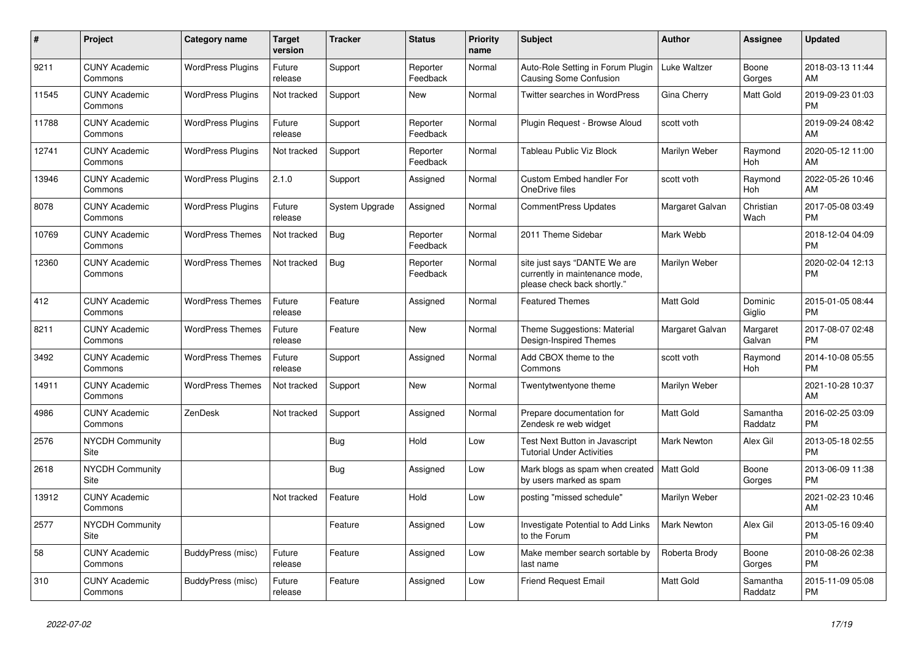| #     | <b>Project</b>                        | Category name            | <b>Target</b><br>version | <b>Tracker</b> | <b>Status</b>        | <b>Priority</b><br>name | <b>Subject</b>                                                                                | <b>Author</b>      | Assignee            | <b>Updated</b>                |
|-------|---------------------------------------|--------------------------|--------------------------|----------------|----------------------|-------------------------|-----------------------------------------------------------------------------------------------|--------------------|---------------------|-------------------------------|
| 9211  | <b>CUNY Academic</b><br>Commons       | <b>WordPress Plugins</b> | Future<br>release        | Support        | Reporter<br>Feedback | Normal                  | Auto-Role Setting in Forum Plugin<br>Causing Some Confusion                                   | Luke Waltzer       | Boone<br>Gorges     | 2018-03-13 11:44<br>AM        |
| 11545 | <b>CUNY Academic</b><br>Commons       | <b>WordPress Plugins</b> | Not tracked              | Support        | New                  | Normal                  | <b>Twitter searches in WordPress</b>                                                          | Gina Cherry        | Matt Gold           | 2019-09-23 01:03<br><b>PM</b> |
| 11788 | <b>CUNY Academic</b><br>Commons       | <b>WordPress Plugins</b> | Future<br>release        | Support        | Reporter<br>Feedback | Normal                  | Plugin Request - Browse Aloud                                                                 | scott voth         |                     | 2019-09-24 08:42<br>AM        |
| 12741 | <b>CUNY Academic</b><br>Commons       | <b>WordPress Plugins</b> | Not tracked              | Support        | Reporter<br>Feedback | Normal                  | <b>Tableau Public Viz Block</b>                                                               | Marilyn Weber      | Raymond<br>Hoh      | 2020-05-12 11:00<br>AM        |
| 13946 | <b>CUNY Academic</b><br>Commons       | <b>WordPress Plugins</b> | 2.1.0                    | Support        | Assigned             | Normal                  | <b>Custom Embed handler For</b><br>OneDrive files                                             | scott voth         | Raymond<br>Hoh      | 2022-05-26 10:46<br>AM        |
| 8078  | <b>CUNY Academic</b><br>Commons       | <b>WordPress Plugins</b> | Future<br>release        | System Upgrade | Assigned             | Normal                  | <b>CommentPress Updates</b>                                                                   | Margaret Galvan    | Christian<br>Wach   | 2017-05-08 03:49<br><b>PM</b> |
| 10769 | <b>CUNY Academic</b><br>Commons       | <b>WordPress Themes</b>  | Not tracked              | <b>Bug</b>     | Reporter<br>Feedback | Normal                  | 2011 Theme Sidebar                                                                            | Mark Webb          |                     | 2018-12-04 04:09<br><b>PM</b> |
| 12360 | <b>CUNY Academic</b><br>Commons       | <b>WordPress Themes</b>  | Not tracked              | Bug            | Reporter<br>Feedback | Normal                  | site just says "DANTE We are<br>currently in maintenance mode,<br>please check back shortly." | Marilyn Weber      |                     | 2020-02-04 12:13<br><b>PM</b> |
| 412   | <b>CUNY Academic</b><br>Commons       | <b>WordPress Themes</b>  | Future<br>release        | Feature        | Assigned             | Normal                  | <b>Featured Themes</b>                                                                        | <b>Matt Gold</b>   | Dominic<br>Giglio   | 2015-01-05 08:44<br><b>PM</b> |
| 8211  | <b>CUNY Academic</b><br>Commons       | <b>WordPress Themes</b>  | Future<br>release        | Feature        | <b>New</b>           | Normal                  | Theme Suggestions: Material<br>Design-Inspired Themes                                         | Margaret Galvan    | Margaret<br>Galvan  | 2017-08-07 02:48<br><b>PM</b> |
| 3492  | <b>CUNY Academic</b><br>Commons       | <b>WordPress Themes</b>  | Future<br>release        | Support        | Assigned             | Normal                  | Add CBOX theme to the<br>Commons                                                              | scott voth         | Raymond<br>Hoh      | 2014-10-08 05:55<br><b>PM</b> |
| 14911 | <b>CUNY Academic</b><br>Commons       | <b>WordPress Themes</b>  | Not tracked              | Support        | New                  | Normal                  | Twentytwentyone theme                                                                         | Marilyn Weber      |                     | 2021-10-28 10:37<br>AM        |
| 4986  | <b>CUNY Academic</b><br>Commons       | ZenDesk                  | Not tracked              | Support        | Assigned             | Normal                  | Prepare documentation for<br>Zendesk re web widget                                            | <b>Matt Gold</b>   | Samantha<br>Raddatz | 2016-02-25 03:09<br><b>PM</b> |
| 2576  | <b>NYCDH Community</b><br>Site        |                          |                          | Bug            | Hold                 | Low                     | Test Next Button in Javascript<br><b>Tutorial Under Activities</b>                            | Mark Newton        | Alex Gil            | 2013-05-18 02:55<br><b>PM</b> |
| 2618  | <b>NYCDH Community</b><br>Site        |                          |                          | <b>Bug</b>     | Assigned             | Low                     | Mark blogs as spam when created   Matt Gold<br>by users marked as spam                        |                    | Boone<br>Gorges     | 2013-06-09 11:38<br><b>PM</b> |
| 13912 | <b>CUNY Academic</b><br>Commons       |                          | Not tracked              | Feature        | Hold                 | Low                     | posting "missed schedule"                                                                     | Marilyn Weber      |                     | 2021-02-23 10:46<br>AM        |
| 2577  | <b>NYCDH Community</b><br><b>Site</b> |                          |                          | Feature        | Assigned             | Low                     | Investigate Potential to Add Links<br>to the Forum                                            | <b>Mark Newton</b> | Alex Gil            | 2013-05-16 09:40<br><b>PM</b> |
| 58    | <b>CUNY Academic</b><br>Commons       | BuddyPress (misc)        | Future<br>release        | Feature        | Assigned             | Low                     | Make member search sortable by<br>last name                                                   | Roberta Brody      | Boone<br>Gorges     | 2010-08-26 02:38<br><b>PM</b> |
| 310   | <b>CUNY Academic</b><br>Commons       | BuddyPress (misc)        | Future<br>release        | Feature        | Assigned             | Low                     | <b>Friend Request Email</b>                                                                   | <b>Matt Gold</b>   | Samantha<br>Raddatz | 2015-11-09 05:08<br><b>PM</b> |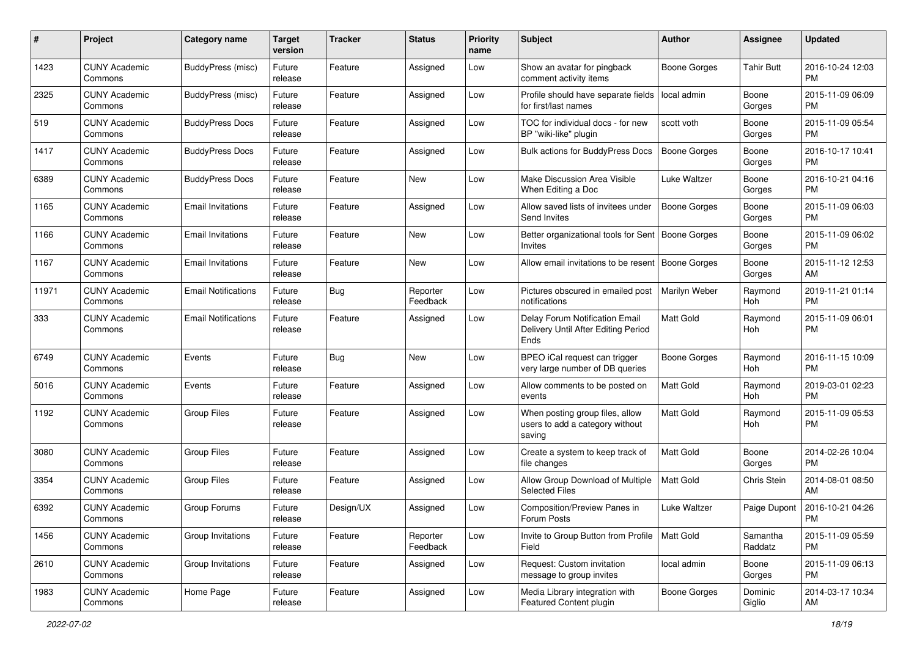| #     | Project                         | <b>Category name</b>       | <b>Target</b><br>version | <b>Tracker</b> | <b>Status</b>        | <b>Priority</b><br>name | <b>Subject</b>                                                                | <b>Author</b>       | <b>Assignee</b>     | <b>Updated</b>                |
|-------|---------------------------------|----------------------------|--------------------------|----------------|----------------------|-------------------------|-------------------------------------------------------------------------------|---------------------|---------------------|-------------------------------|
| 1423  | <b>CUNY Academic</b><br>Commons | <b>BuddyPress (misc)</b>   | Future<br>release        | Feature        | Assigned             | Low                     | Show an avatar for pingback<br>comment activity items                         | <b>Boone Gorges</b> | <b>Tahir Butt</b>   | 2016-10-24 12:03<br><b>PM</b> |
| 2325  | <b>CUNY Academic</b><br>Commons | <b>BuddyPress (misc)</b>   | Future<br>release        | Feature        | Assigned             | Low                     | Profile should have separate fields<br>for first/last names                   | local admin         | Boone<br>Gorges     | 2015-11-09 06:09<br><b>PM</b> |
| 519   | <b>CUNY Academic</b><br>Commons | <b>BuddyPress Docs</b>     | Future<br>release        | Feature        | Assigned             | Low                     | TOC for individual docs - for new<br>BP "wiki-like" plugin                    | scott voth          | Boone<br>Gorges     | 2015-11-09 05:54<br><b>PM</b> |
| 1417  | <b>CUNY Academic</b><br>Commons | <b>BuddyPress Docs</b>     | Future<br>release        | Feature        | Assigned             | Low                     | Bulk actions for BuddyPress Docs                                              | Boone Gorges        | Boone<br>Gorges     | 2016-10-17 10:41<br>PM.       |
| 6389  | <b>CUNY Academic</b><br>Commons | <b>BuddyPress Docs</b>     | Future<br>release        | Feature        | New                  | Low                     | Make Discussion Area Visible<br>When Editing a Doc                            | Luke Waltzer        | Boone<br>Gorges     | 2016-10-21 04:16<br><b>PM</b> |
| 1165  | <b>CUNY Academic</b><br>Commons | <b>Email Invitations</b>   | Future<br>release        | Feature        | Assigned             | Low                     | Allow saved lists of invitees under<br>Send Invites                           | <b>Boone Gorges</b> | Boone<br>Gorges     | 2015-11-09 06:03<br>PM.       |
| 1166  | <b>CUNY Academic</b><br>Commons | <b>Email Invitations</b>   | Future<br>release        | Feature        | New                  | Low                     | Better organizational tools for Sent   Boone Gorges<br>Invites                |                     | Boone<br>Gorges     | 2015-11-09 06:02<br>PM.       |
| 1167  | <b>CUNY Academic</b><br>Commons | <b>Email Invitations</b>   | Future<br>release        | Feature        | New                  | Low                     | Allow email invitations to be resent                                          | Boone Gorges        | Boone<br>Gorges     | 2015-11-12 12:53<br>AM.       |
| 11971 | <b>CUNY Academic</b><br>Commons | <b>Email Notifications</b> | Future<br>release        | Bug            | Reporter<br>Feedback | Low                     | Pictures obscured in emailed post<br>notifications                            | Marilyn Weber       | Raymond<br>Hoh      | 2019-11-21 01:14<br><b>PM</b> |
| 333   | <b>CUNY Academic</b><br>Commons | <b>Email Notifications</b> | Future<br>release        | Feature        | Assigned             | Low                     | Delay Forum Notification Email<br>Delivery Until After Editing Period<br>Ends | Matt Gold           | Raymond<br>Hoh      | 2015-11-09 06:01<br><b>PM</b> |
| 6749  | <b>CUNY Academic</b><br>Commons | Events                     | Future<br>release        | Bug            | New                  | Low                     | BPEO iCal request can trigger<br>very large number of DB queries              | Boone Gorges        | Raymond<br>Hoh      | 2016-11-15 10:09<br><b>PM</b> |
| 5016  | <b>CUNY Academic</b><br>Commons | Events                     | Future<br>release        | Feature        | Assigned             | Low                     | Allow comments to be posted on<br>events                                      | <b>Matt Gold</b>    | Raymond<br>Hoh      | 2019-03-01 02:23<br><b>PM</b> |
| 1192  | <b>CUNY Academic</b><br>Commons | <b>Group Files</b>         | Future<br>release        | Feature        | Assigned             | Low                     | When posting group files, allow<br>users to add a category without<br>saving  | <b>Matt Gold</b>    | Raymond<br>Hoh      | 2015-11-09 05:53<br><b>PM</b> |
| 3080  | <b>CUNY Academic</b><br>Commons | <b>Group Files</b>         | Future<br>release        | Feature        | Assigned             | Low                     | Create a system to keep track of<br>file changes                              | <b>Matt Gold</b>    | Boone<br>Gorges     | 2014-02-26 10:04<br><b>PM</b> |
| 3354  | <b>CUNY Academic</b><br>Commons | <b>Group Files</b>         | Future<br>release        | Feature        | Assigned             | Low                     | Allow Group Download of Multiple<br><b>Selected Files</b>                     | <b>Matt Gold</b>    | Chris Stein         | 2014-08-01 08:50<br>AM.       |
| 6392  | <b>CUNY Academic</b><br>Commons | Group Forums               | Future<br>release        | Design/UX      | Assigned             | Low                     | Composition/Preview Panes in<br>Forum Posts                                   | Luke Waltzer        | Paige Dupont        | 2016-10-21 04:26<br>PM        |
| 1456  | <b>CUNY Academic</b><br>Commons | Group Invitations          | Future<br>release        | Feature        | Reporter<br>Feedback | Low                     | Invite to Group Button from Profile   Matt Gold<br>Field                      |                     | Samantha<br>Raddatz | 2015-11-09 05:59<br><b>PM</b> |
| 2610  | <b>CUNY Academic</b><br>Commons | Group Invitations          | Future<br>release        | Feature        | Assigned             | Low                     | Request: Custom invitation<br>message to group invites                        | local admin         | Boone<br>Gorges     | 2015-11-09 06:13<br><b>PM</b> |
| 1983  | <b>CUNY Academic</b><br>Commons | Home Page                  | Future<br>release        | Feature        | Assigned             | Low                     | Media Library integration with<br>Featured Content plugin                     | <b>Boone Gorges</b> | Dominic<br>Giglio   | 2014-03-17 10:34<br>AM        |